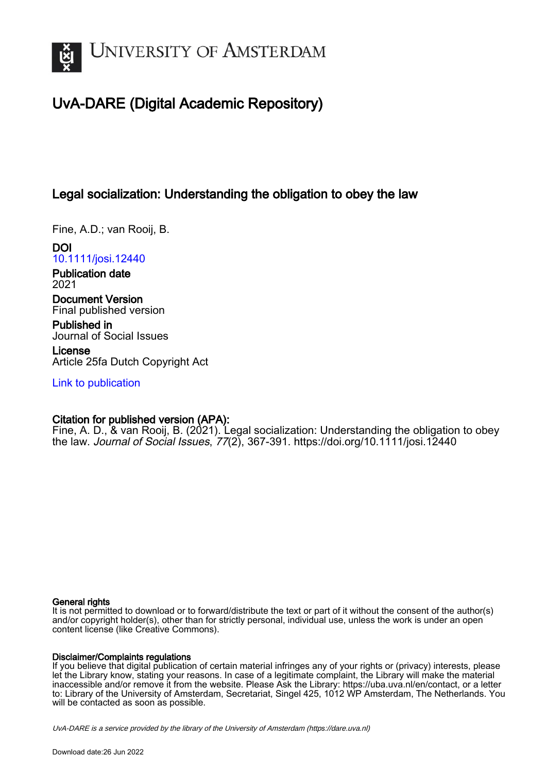

# UvA-DARE (Digital Academic Repository)

## Legal socialization: Understanding the obligation to obey the law

Fine, A.D.; van Rooij, B.

DOI [10.1111/josi.12440](https://doi.org/10.1111/josi.12440)

Publication date 2021

Document Version Final published version

Published in Journal of Social Issues

License Article 25fa Dutch Copyright Act

[Link to publication](https://dare.uva.nl/personal/pure/en/publications/legal-socialization-understanding-the-obligation-to-obey-the-law(138c2037-3241-42e2-a6d6-a9943d1b8039).html)

## Citation for published version (APA):

Fine, A. D., & van Rooij, B. (2021). Legal socialization: Understanding the obligation to obey the law. Journal of Social Issues, 77(2), 367-391.<https://doi.org/10.1111/josi.12440>

#### General rights

It is not permitted to download or to forward/distribute the text or part of it without the consent of the author(s) and/or copyright holder(s), other than for strictly personal, individual use, unless the work is under an open content license (like Creative Commons).

## Disclaimer/Complaints regulations

If you believe that digital publication of certain material infringes any of your rights or (privacy) interests, please let the Library know, stating your reasons. In case of a legitimate complaint, the Library will make the material inaccessible and/or remove it from the website. Please Ask the Library: https://uba.uva.nl/en/contact, or a letter to: Library of the University of Amsterdam, Secretariat, Singel 425, 1012 WP Amsterdam, The Netherlands. You will be contacted as soon as possible.

UvA-DARE is a service provided by the library of the University of Amsterdam (http*s*://dare.uva.nl)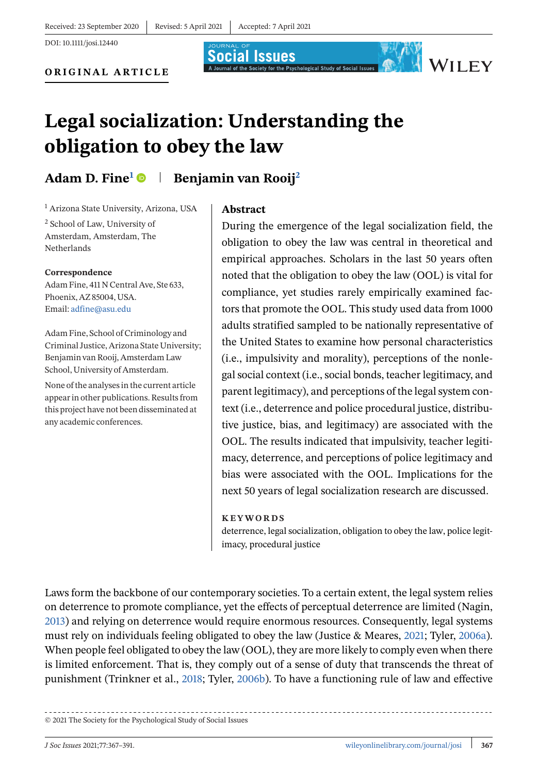**Social Issues** 

DOI: 10.1111/josi.12440

**ORIGINAL ARTICLE**



WILEY

# **Legal socialization: Understanding the obligation to obey the law**

Adam D. Fine<sup>1</sup> **Benjamin van Rooij**<sup>2</sup>

<sup>1</sup> Arizona State University, Arizona, USA <sup>2</sup> School of Law, University of Amsterdam, Amsterdam, The Netherlands

**Correspondence**

Adam Fine, 411 N Central Ave, Ste 633, Phoenix, AZ 85004, USA. Email: [adfine@asu.edu](mailto:adfine@asu.edu)

Adam Fine, School of Criminology and Criminal Justice, Arizona State University; Benjamin van Rooij, Amsterdam Law School, University of Amsterdam.

None of the analyses in the current article appear in other publications. Results from this project have not been disseminated at any academic conferences.

#### **Abstract**

During the emergence of the legal socialization field, the obligation to obey the law was central in theoretical and empirical approaches. Scholars in the last 50 years often noted that the obligation to obey the law (OOL) is vital for compliance, yet studies rarely empirically examined factors that promote the OOL. This study used data from 1000 adults stratified sampled to be nationally representative of the United States to examine how personal characteristics (i.e., impulsivity and morality), perceptions of the nonlegal social context (i.e., social bonds, teacher legitimacy, and parent legitimacy), and perceptions of the legal system context (i.e., deterrence and police procedural justice, distributive justice, bias, and legitimacy) are associated with the OOL. The results indicated that impulsivity, teacher legitimacy, deterrence, and perceptions of police legitimacy and bias were associated with the OOL. Implications for the next 50 years of legal socialization research are discussed.

#### **KEYWORDS**

deterrence, legal socialization, obligation to obey the law, police legitimacy, procedural justice

Laws form the backbone of our contemporary societies. To a certain extent, the legal system relies on deterrence to promote compliance, yet the effects of perceptual deterrence are limited (Nagin, [2013\)](#page-22-0) and relying on deterrence would require enormous resources. Consequently, legal systems must rely on individuals feeling obligated to obey the law (Justice & Meares, [2021;](#page-22-0) Tyler, [2006a\)](#page-24-0). When people feel obligated to obey the law (OOL), they are more likely to comply even when there is limited enforcement. That is, they comply out of a sense of duty that transcends the threat of punishment (Trinkner et al., [2018;](#page-24-0) Tyler, [2006b\)](#page-24-0). To have a functioning rule of law and effective

© 2021 The Society for the Psychological Study of Social Issues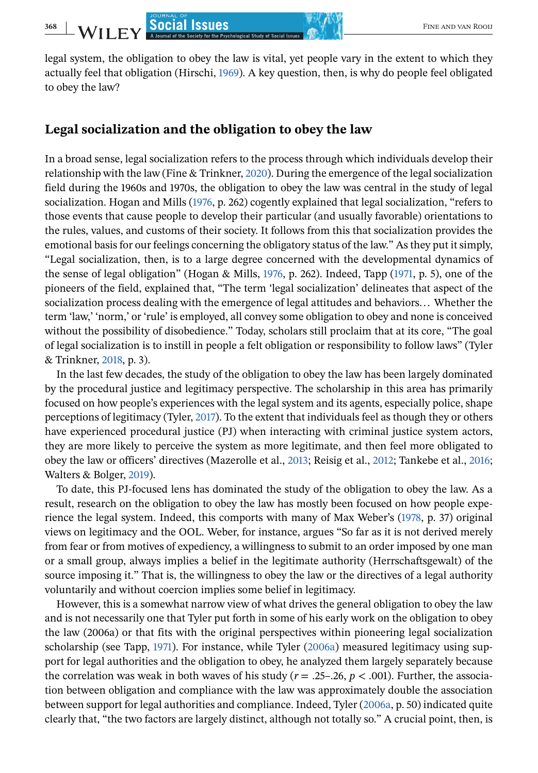legal system, the obligation to obey the law is vital, yet people vary in the extent to which they actually feel that obligation (Hirschi, [1969\)](#page-22-0). A key question, then, is why do people feel obligated to obey the law?

#### **Legal socialization and the obligation to obey the law**

In a broad sense, legal socialization refers to the process through which individuals develop their relationship with the law (Fine & Trinkner, [2020\)](#page-21-0). During the emergence of the legal socialization field during the 1960s and 1970s, the obligation to obey the law was central in the study of legal socialization. Hogan and Mills [\(1976,](#page-22-0) p. 262) cogently explained that legal socialization, "refers to those events that cause people to develop their particular (and usually favorable) orientations to the rules, values, and customs of their society. It follows from this that socialization provides the emotional basis for our feelings concerning the obligatory status of the law." As they put it simply, "Legal socialization, then, is to a large degree concerned with the developmental dynamics of the sense of legal obligation" (Hogan & Mills, [1976,](#page-22-0) p. 262). Indeed, Tapp [\(1971,](#page-23-0) p. 5), one of the pioneers of the field, explained that, "The term 'legal socialization' delineates that aspect of the

socialization process dealing with the emergence of legal attitudes and behaviors... Whether the term 'law,' 'norm,' or 'rule' is employed, all convey some obligation to obey and none is conceived without the possibility of disobedience." Today, scholars still proclaim that at its core, "The goal of legal socialization is to instill in people a felt obligation or responsibility to follow laws" (Tyler & Trinkner, [2018,](#page-24-0) p. 3).

In the last few decades, the study of the obligation to obey the law has been largely dominated by the procedural justice and legitimacy perspective. The scholarship in this area has primarily focused on how people's experiences with the legal system and its agents, especially police, shape perceptions of legitimacy (Tyler, [2017\)](#page-24-0). To the extent that individuals feel as though they or others have experienced procedural justice (PJ) when interacting with criminal justice system actors, they are more likely to perceive the system as more legitimate, and then feel more obligated to obey the law or officers' directives (Mazerolle et al., [2013;](#page-22-0) Reisig et al., [2012;](#page-23-0) Tankebe et al., [2016;](#page-23-0) Walters & Bolger, [2019\)](#page-24-0).

To date, this PJ-focused lens has dominated the study of the obligation to obey the law. As a result, research on the obligation to obey the law has mostly been focused on how people experience the legal system. Indeed, this comports with many of Max Weber's [\(1978,](#page-24-0) p. 37) original views on legitimacy and the OOL. Weber, for instance, argues "So far as it is not derived merely from fear or from motives of expediency, a willingness to submit to an order imposed by one man or a small group, always implies a belief in the legitimate authority (Herrschaftsgewalt) of the source imposing it." That is, the willingness to obey the law or the directives of a legal authority voluntarily and without coercion implies some belief in legitimacy.

However, this is a somewhat narrow view of what drives the general obligation to obey the law and is not necessarily one that Tyler put forth in some of his early work on the obligation to obey the law (2006a) or that fits with the original perspectives within pioneering legal socialization scholarship (see Tapp, [1971\)](#page-23-0). For instance, while Tyler [\(2006a\)](#page-24-0) measured legitimacy using support for legal authorities and the obligation to obey, he analyzed them largely separately because the correlation was weak in both waves of his study ( $r = .25-.26$ ,  $p < .001$ ). Further, the association between obligation and compliance with the law was approximately double the association between support for legal authorities and compliance. Indeed, Tyler [\(2006a,](#page-24-0) p. 50) indicated quite clearly that, "the two factors are largely distinct, although not totally so." A crucial point, then, is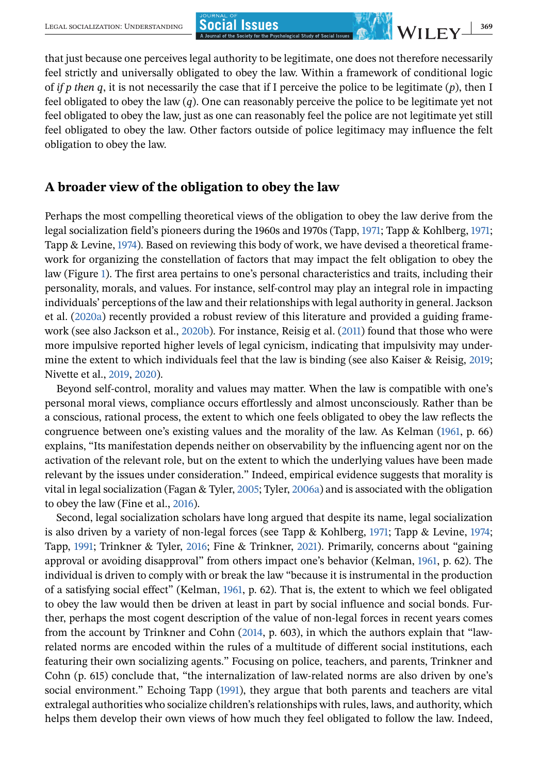that just because one perceives legal authority to be legitimate, one does not therefore necessarily feel strictly and universally obligated to obey the law. Within a framework of conditional logic of *if p then q*, it is not necessarily the case that if I perceive the police to be legitimate (*p*), then I feel obligated to obey the law (*q*). One can reasonably perceive the police to be legitimate yet not feel obligated to obey the law, just as one can reasonably feel the police are not legitimate yet still feel obligated to obey the law. Other factors outside of police legitimacy may influence the felt obligation to obey the law.

#### **A broader view of the obligation to obey the law**

Perhaps the most compelling theoretical views of the obligation to obey the law derive from the legal socialization field's pioneers during the 1960s and 1970s (Tapp, [1971;](#page-23-0) Tapp & Kohlberg, [1971;](#page-23-0) Tapp & Levine, [1974\)](#page-23-0). Based on reviewing this body of work, we have devised a theoretical framework for organizing the constellation of factors that may impact the felt obligation to obey the law (Figure [1\)](#page-4-0). The first area pertains to one's personal characteristics and traits, including their personality, morals, and values. For instance, self-control may play an integral role in impacting individuals' perceptions of the law and their relationships with legal authority in general. Jackson et al. [\(2020a\)](#page-22-0) recently provided a robust review of this literature and provided a guiding frame-work (see also Jackson et al., [2020b\)](#page-22-0). For instance, Reisig et al. [\(2011\)](#page-23-0) found that those who were more impulsive reported higher levels of legal cynicism, indicating that impulsivity may undermine the extent to which individuals feel that the law is binding (see also Kaiser & Reisig,  $2019$ ; Nivette et al., [2019,](#page-23-0) [2020\)](#page-23-0).

Beyond self-control, morality and values may matter. When the law is compatible with one's personal moral views, compliance occurs effortlessly and almost unconsciously. Rather than be a conscious, rational process, the extent to which one feels obligated to obey the law reflects the congruence between one's existing values and the morality of the law. As Kelman [\(1961,](#page-22-0) p. 66) explains, "Its manifestation depends neither on observability by the influencing agent nor on the activation of the relevant role, but on the extent to which the underlying values have been made relevant by the issues under consideration." Indeed, empirical evidence suggests that morality is vital in legal socialization (Fagan & Tyler, [2005;](#page-21-0) Tyler, [2006a\)](#page-24-0) and is associated with the obligation to obey the law (Fine et al., [2016\)](#page-21-0).

Second, legal socialization scholars have long argued that despite its name, legal socialization is also driven by a variety of non-legal forces (see Tapp & Kohlberg, [1971;](#page-23-0) Tapp & Levine, [1974;](#page-23-0) Tapp, [1991;](#page-23-0) Trinkner & Tyler, [2016;](#page-24-0) Fine & Trinkner, [2021\)](#page-21-0). Primarily, concerns about "gaining approval or avoiding disapproval" from others impact one's behavior (Kelman, [1961,](#page-22-0) p. 62). The individual is driven to comply with or break the law "because it is instrumental in the production of a satisfying social effect" (Kelman, [1961,](#page-22-0) p. 62). That is, the extent to which we feel obligated to obey the law would then be driven at least in part by social influence and social bonds. Further, perhaps the most cogent description of the value of non-legal forces in recent years comes from the account by Trinkner and Cohn [\(2014,](#page-24-0) p. 603), in which the authors explain that "lawrelated norms are encoded within the rules of a multitude of different social institutions, each featuring their own socializing agents." Focusing on police, teachers, and parents, Trinkner and Cohn (p. 615) conclude that, "the internalization of law-related norms are also driven by one's social environment." Echoing Tapp [\(1991\)](#page-23-0), they argue that both parents and teachers are vital extralegal authorities who socialize children's relationships with rules, laws, and authority, which helps them develop their own views of how much they feel obligated to follow the law. Indeed,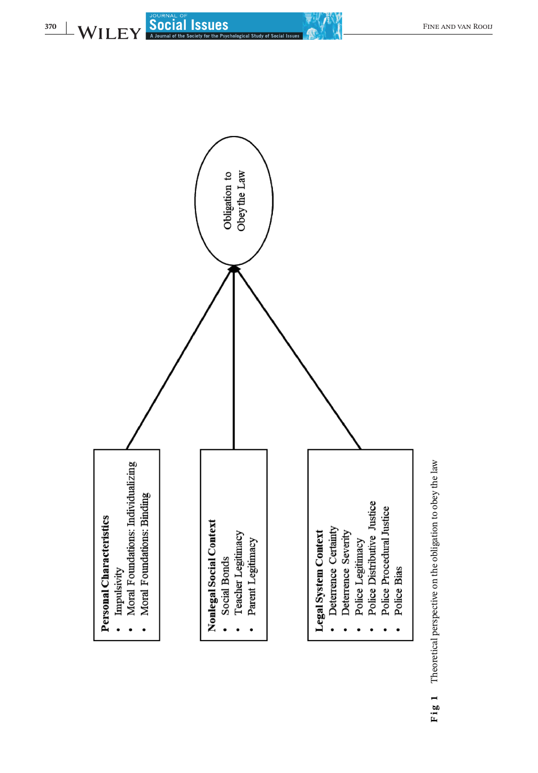<span id="page-4-0"></span>

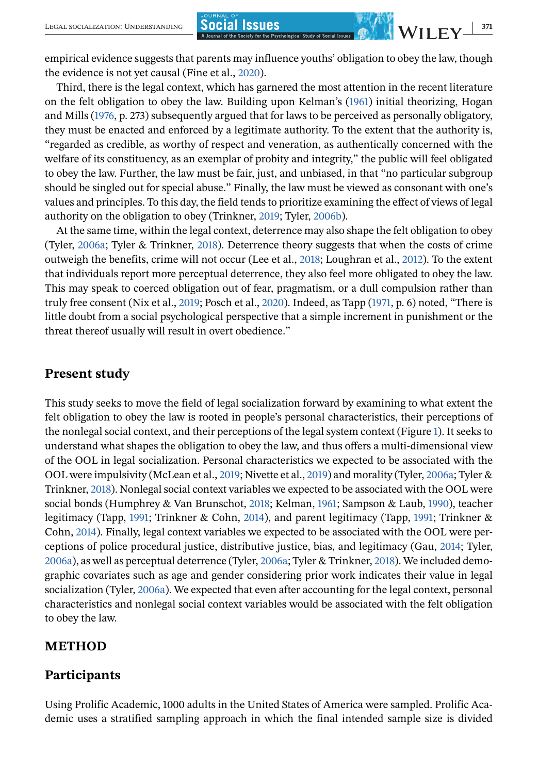empirical evidence suggests that parents may influence youths' obligation to obey the law, though the evidence is not yet causal (Fine et al., [2020\)](#page-21-0).

Third, there is the legal context, which has garnered the most attention in the recent literature on the felt obligation to obey the law. Building upon Kelman's [\(1961\)](#page-22-0) initial theorizing, Hogan and Mills [\(1976,](#page-22-0) p. 273) subsequently argued that for laws to be perceived as personally obligatory, they must be enacted and enforced by a legitimate authority. To the extent that the authority is, "regarded as credible, as worthy of respect and veneration, as authentically concerned with the welfare of its constituency, as an exemplar of probity and integrity," the public will feel obligated to obey the law. Further, the law must be fair, just, and unbiased, in that "no particular subgroup should be singled out for special abuse." Finally, the law must be viewed as consonant with one's values and principles. To this day, the field tends to prioritize examining the effect of views of legal authority on the obligation to obey (Trinkner, [2019;](#page-24-0) Tyler, [2006b\)](#page-24-0).

At the same time, within the legal context, deterrence may also shape the felt obligation to obey (Tyler, [2006a;](#page-24-0) Tyler & Trinkner, [2018\)](#page-24-0). Deterrence theory suggests that when the costs of crime outweigh the benefits, crime will not occur (Lee et al., [2018;](#page-22-0) Loughran et al., [2012\)](#page-22-0). To the extent that individuals report more perceptual deterrence, they also feel more obligated to obey the law. This may speak to coerced obligation out of fear, pragmatism, or a dull compulsion rather than truly free consent (Nix et al., [2019;](#page-23-0) Posch et al., [2020\)](#page-23-0). Indeed, as Tapp [\(1971,](#page-23-0) p. 6) noted, "There is little doubt from a social psychological perspective that a simple increment in punishment or the threat thereof usually will result in overt obedience."

## **Present study**

This study seeks to move the field of legal socialization forward by examining to what extent the felt obligation to obey the law is rooted in people's personal characteristics, their perceptions of the nonlegal social context, and their perceptions of the legal system context (Figure [1\)](#page-4-0). It seeks to understand what shapes the obligation to obey the law, and thus offers a multi-dimensional view of the OOL in legal socialization. Personal characteristics we expected to be associated with the OOL were impulsivity (McLean et al., [2019;](#page-22-0) Nivette et al., [2019\)](#page-23-0) and morality (Tyler, [2006a;](#page-24-0) Tyler & Trinkner, [2018\)](#page-24-0). Nonlegal social context variables we expected to be associated with the OOL were social bonds (Humphrey & Van Brunschot, [2018;](#page-22-0) Kelman, [1961;](#page-22-0) Sampson & Laub, [1990\)](#page-23-0), teacher legitimacy (Tapp, [1991;](#page-23-0) Trinkner & Cohn, [2014\)](#page-24-0), and parent legitimacy (Tapp, [1991;](#page-23-0) Trinkner & Cohn, [2014\)](#page-24-0). Finally, legal context variables we expected to be associated with the OOL were perceptions of police procedural justice, distributive justice, bias, and legitimacy (Gau, [2014;](#page-21-0) Tyler, [2006a\)](#page-24-0), as well as perceptual deterrence (Tyler, [2006a;](#page-24-0) Tyler & Trinkner, [2018\)](#page-24-0). We included demographic covariates such as age and gender considering prior work indicates their value in legal socialization (Tyler, [2006a\)](#page-24-0). We expected that even after accounting for the legal context, personal characteristics and nonlegal social context variables would be associated with the felt obligation to obey the law.

## **METHOD**

## **Participants**

Using Prolific Academic, 1000 adults in the United States of America were sampled. Prolific Academic uses a stratified sampling approach in which the final intended sample size is divided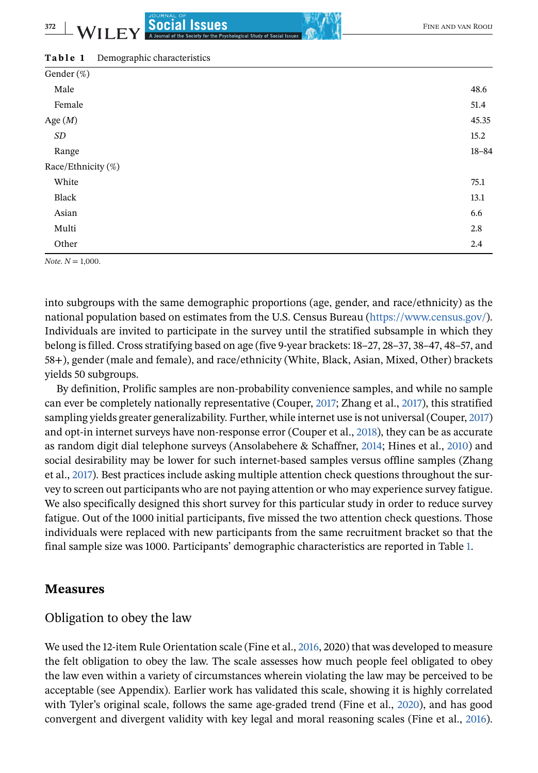#### **Table 1** Demographic characteristics

| Gender (%)         |           |
|--------------------|-----------|
| Male               | 48.6      |
| Female             | 51.4      |
| Age $(M)$          | 45.35     |
| SD                 | 15.2      |
| Range              | $18 - 84$ |
| Race/Ethnicity (%) |           |
| White              | 75.1      |
| Black              | 13.1      |
| Asian              | 6.6       |
| Multi              | 2.8       |
| Other              | 2.4       |

*Note*. *N* = 1,000.

into subgroups with the same demographic proportions (age, gender, and race/ethnicity) as the national population based on estimates from the U.S. Census Bureau [\(https://www.census.gov/\)](https://www.census.gov/). Individuals are invited to participate in the survey until the stratified subsample in which they belong is filled. Cross stratifying based on age (five 9-year brackets: 18–27, 28–37, 38–47, 48–57, and 58+), gender (male and female), and race/ethnicity (White, Black, Asian, Mixed, Other) brackets yields 50 subgroups.

By definition, Prolific samples are non-probability convenience samples, and while no sample can ever be completely nationally representative (Couper, [2017;](#page-21-0) Zhang et al., [2017\)](#page-24-0), this stratified sampling yields greater generalizability. Further, while internet use is not universal (Couper, [2017\)](#page-21-0) and opt-in internet surveys have non-response error (Couper et al., [2018\)](#page-21-0), they can be as accurate as random digit dial telephone surveys (Ansolabehere & Schaffner, [2014;](#page-21-0) Hines et al., [2010\)](#page-22-0) and social desirability may be lower for such internet-based samples versus offline samples (Zhang et al., [2017\)](#page-24-0). Best practices include asking multiple attention check questions throughout the survey to screen out participants who are not paying attention or who may experience survey fatigue. We also specifically designed this short survey for this particular study in order to reduce survey fatigue. Out of the 1000 initial participants, five missed the two attention check questions. Those individuals were replaced with new participants from the same recruitment bracket so that the final sample size was 1000. Participants' demographic characteristics are reported in Table 1.

## **Measures**

#### Obligation to obey the law

We used the 12-item Rule Orientation scale (Fine et al., [2016,](#page-21-0) 2020) that was developed to measure the felt obligation to obey the law. The scale assesses how much people feel obligated to obey the law even within a variety of circumstances wherein violating the law may be perceived to be acceptable (see Appendix). Earlier work has validated this scale, showing it is highly correlated with Tyler's original scale, follows the same age-graded trend (Fine et al., [2020\)](#page-21-0), and has good convergent and divergent validity with key legal and moral reasoning scales (Fine et al., [2016\)](#page-21-0).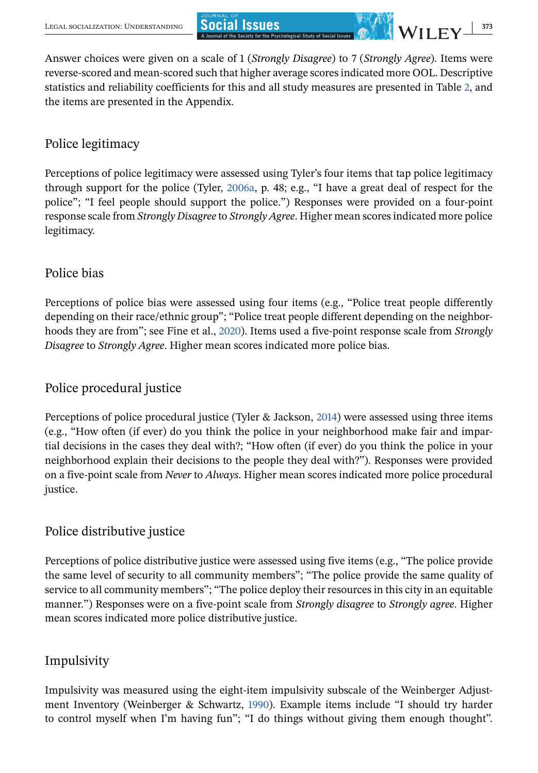Answer choices were given on a scale of 1 (*Strongly Disagree*) to 7 (*Strongly Agree*). Items were reverse-scored and mean-scored such that higher average scores indicated more OOL. Descriptive statistics and reliability coefficients for this and all study measures are presented in Table [2,](#page-8-0) and the items are presented in the Appendix.

## Police legitimacy

Perceptions of police legitimacy were assessed using Tyler's four items that tap police legitimacy through support for the police (Tyler, [2006a,](#page-24-0) p. 48; e.g., "I have a great deal of respect for the police"; "I feel people should support the police.") Responses were provided on a four-point response scale from *Strongly Disagree* to *Strongly Agree*. Higher mean scores indicated more police legitimacy.

## Police bias

Perceptions of police bias were assessed using four items (e.g., "Police treat people differently depending on their race/ethnic group"; "Police treat people different depending on the neighborhoods they are from"; see Fine et al., [2020\)](#page-21-0). Items used a five-point response scale from *Strongly Disagree* to *Strongly Agree*. Higher mean scores indicated more police bias.

## Police procedural justice

Perceptions of police procedural justice (Tyler & Jackson, [2014\)](#page-24-0) were assessed using three items (e.g., "How often (if ever) do you think the police in your neighborhood make fair and impartial decisions in the cases they deal with?; "How often (if ever) do you think the police in your neighborhood explain their decisions to the people they deal with?"). Responses were provided on a five-point scale from *Never* to *Always*. Higher mean scores indicated more police procedural justice.

## Police distributive justice

Perceptions of police distributive justice were assessed using five items (e.g., "The police provide the same level of security to all community members"; "The police provide the same quality of service to all community members"; "The police deploy their resources in this city in an equitable manner.") Responses were on a five-point scale from *Strongly disagree* to *Strongly agree*. Higher mean scores indicated more police distributive justice.

## Impulsivity

Impulsivity was measured using the eight-item impulsivity subscale of the Weinberger Adjustment Inventory (Weinberger & Schwartz, [1990\)](#page-24-0). Example items include "I should try harder to control myself when I'm having fun"; "I do things without giving them enough thought".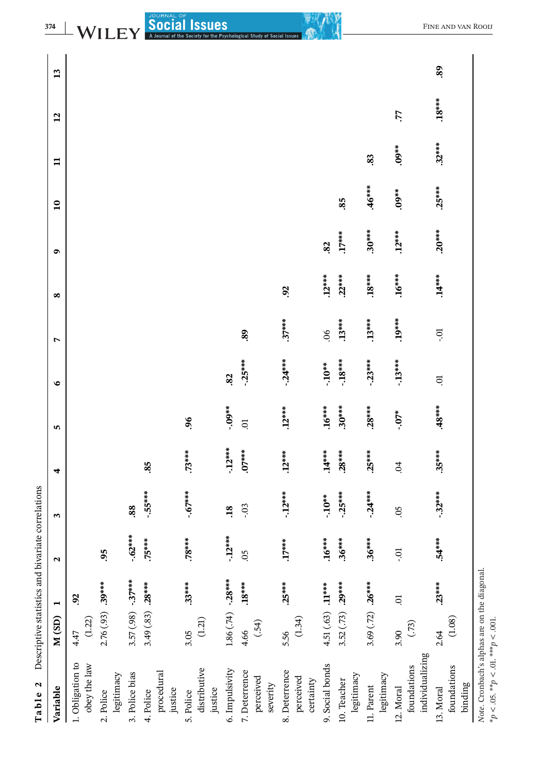Table 2 Descriptive statistics and bivariate correlations **Table 2** Descriptive statistics and bivariate correlations

<span id="page-8-0"></span>

|                                                                                                  | Descriptive sources and the present |                |                      | טבנטני שני בטבע |            |           |           |                |          |           |                 |              |                |    |
|--------------------------------------------------------------------------------------------------|-------------------------------------|----------------|----------------------|-----------------|------------|-----------|-----------|----------------|----------|-----------|-----------------|--------------|----------------|----|
| Variable                                                                                         | M(SD)                               | Η              | $\mathbf{\tilde{z}}$ | S               | 4          | 5         | $\bullet$ | $\overline{ }$ | $\infty$ | $\bullet$ | $\overline{10}$ | $\mathbf{u}$ | $\overline{a}$ | 13 |
| 1. Obligation to<br>obey the law                                                                 | $(1.22)$<br>4.47                    | $\overline{6}$ |                      |                 |            |           |           |                |          |           |                 |              |                |    |
| legitimacy<br>2. Police                                                                          | $2.76(.93) .39***$                  |                | 95                   |                 |            |           |           |                |          |           |                 |              |                |    |
| 3. Police bias                                                                                   | $3.57(.98) - 37***$                 |                | $-62***$             | 88.             |            |           |           |                |          |           |                 |              |                |    |
| procedural<br>justice<br>4. Police                                                               | 3.49 $(.83)$ .28***                 |                | $.75***$             | $-55***$        | .85        |           |           |                |          |           |                 |              |                |    |
| distributive<br>justice<br>5. Police                                                             | $(1.21)$<br>3.05                    | $.33***$       | $.78***$             | $-67***$        | $.73***$   | 06        |           |                |          |           |                 |              |                |    |
| 6. Impulsivity                                                                                   | $1.86(.74) -28***$                  |                | $-12***$             | $\overline{18}$ | $-12***$   | $-0.0$ ** | 82        |                |          |           |                 |              |                |    |
| 7. Deterrence<br>perceived<br>severity                                                           | (.54)<br>4.66                       | $.18***$       | $\overline{5}$       | $-0.3$          | $.07***$   | ō.        | $-25***$  | 89             |          |           |                 |              |                |    |
| 8. Deterrence<br>perceived<br>certainty                                                          | (1.34)<br>5.56                      | $.25***$       | $.17***$             | $-12***$        | $.12***$   | $.12***$  | $-24***$  | $.37***$       | Só       |           |                 |              |                |    |
| 9. Social bonds                                                                                  | 4.51 (.63) $.11***$                 |                | $16***$              | $-10**$         | $.14***$   | $.16***$  | $-10**$   | 80.            | $.12***$ | .82       |                 |              |                |    |
| legitimacy<br>10. Teacher                                                                        | 3.52 $(.73)$ .29***                 |                | $.36***$             | $-25***$        | $.28***$   | $.30***$  | $-18***$  | $.13***$       | $.22***$ | $.17***$  | 85              |              |                |    |
| legitimacy<br>11. Parent                                                                         | 3.69 $(.72)$ .26***                 |                | $.36***$             | $-24***$        | $.25***$   | $.28***$  | $-23***$  | $.13***$       | $.18***$ | $.30***$  | $.46***$        | 83           |                |    |
| individualizing<br>foundations<br>12. Moral                                                      | (.73)<br>3.90                       | <b>ic</b>      | io.                  | SO.             | $\ddot{c}$ | $-07*$    | $-13***$  | $.19***$       | $.16***$ | $.12***$  | $.09**$         | $.09**$      | Ľ.             |    |
| foundations<br>binding<br>13. Moral                                                              | (1.08)<br>2.64                      | $.23***$       | $54***$              | $-32***$        | $.35***$   | $48***$   | 5.        | io-            | $.14***$ | $.20***$  | $.25***$        | $.32***$     | $.18***$       | 89 |
| Note. Cronbach's alphas are on the diagonal.<br>$*_{p} < .05.$ $**_{p} < .01.$ $***_{p} < .001.$ |                                     |                |                      |                 |            |           |           |                |          |           |                 |              |                |    |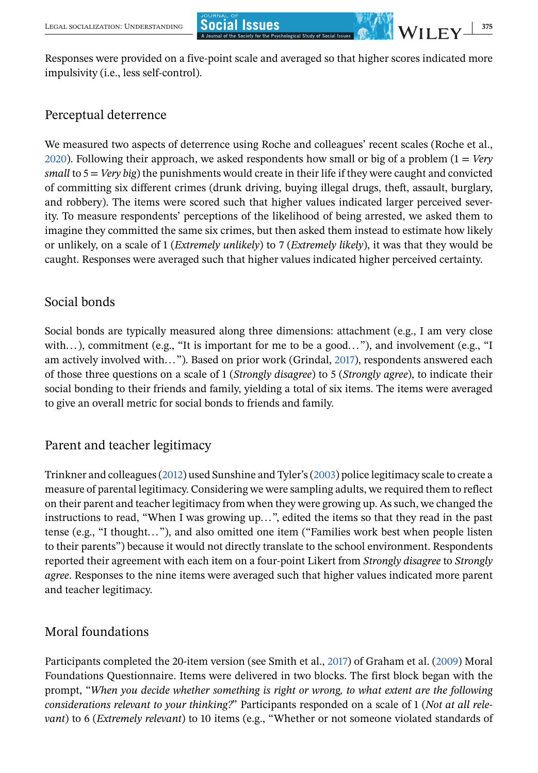Responses were provided on a five-point scale and averaged so that higher scores indicated more impulsivity (i.e., less self-control).

## Perceptual deterrence

We measured two aspects of deterrence using Roche and colleagues' recent scales (Roche et al., [2020\)](#page-23-0). Following their approach, we asked respondents how small or big of a problem (1 = *Very small* to 5 = *Very big*) the punishments would create in their life if they were caught and convicted of committing six different crimes (drunk driving, buying illegal drugs, theft, assault, burglary, and robbery). The items were scored such that higher values indicated larger perceived severity. To measure respondents' perceptions of the likelihood of being arrested, we asked them to imagine they committed the same six crimes, but then asked them instead to estimate how likely or unlikely, on a scale of 1 (*Extremely unlikely*) to 7 (*Extremely likely*), it was that they would be caught. Responses were averaged such that higher values indicated higher perceived certainty.

## Social bonds

Social bonds are typically measured along three dimensions: attachment (e.g., I am very close with...), commitment (e.g., "It is important for me to be a good..."), and involvement (e.g., "I am actively involved with... "). Based on prior work (Grindal, [2017\)](#page-22-0), respondents answered each of those three questions on a scale of 1 (*Strongly disagree*) to 5 (*Strongly agree*), to indicate their social bonding to their friends and family, yielding a total of six items. The items were averaged to give an overall metric for social bonds to friends and family.

## Parent and teacher legitimacy

Trinkner and colleagues [\(2012\)](#page-24-0) used Sunshine and Tyler's [\(2003\)](#page-23-0) police legitimacy scale to create a measure of parental legitimacy. Considering we were sampling adults, we required them to reflect on their parent and teacher legitimacy from when they were growing up. As such, we changed the instructions to read, "When I was growing up... ", edited the items so that they read in the past tense (e.g., "I thought... "), and also omitted one item ("Families work best when people listen to their parents") because it would not directly translate to the school environment. Respondents reported their agreement with each item on a four-point Likert from *Strongly disagree* to *Strongly agree*. Responses to the nine items were averaged such that higher values indicated more parent and teacher legitimacy.

## Moral foundations

Participants completed the 20-item version (see Smith et al., [2017\)](#page-23-0) of Graham et al. [\(2009\)](#page-21-0) Moral Foundations Questionnaire. Items were delivered in two blocks. The first block began with the prompt, "*When you decide whether something is right or wrong, to what extent are the following considerations relevant to your thinking?*" Participants responded on a scale of 1 (*Not at all relevant*) to 6 (*Extremely relevant*) to 10 items (e.g., "Whether or not someone violated standards of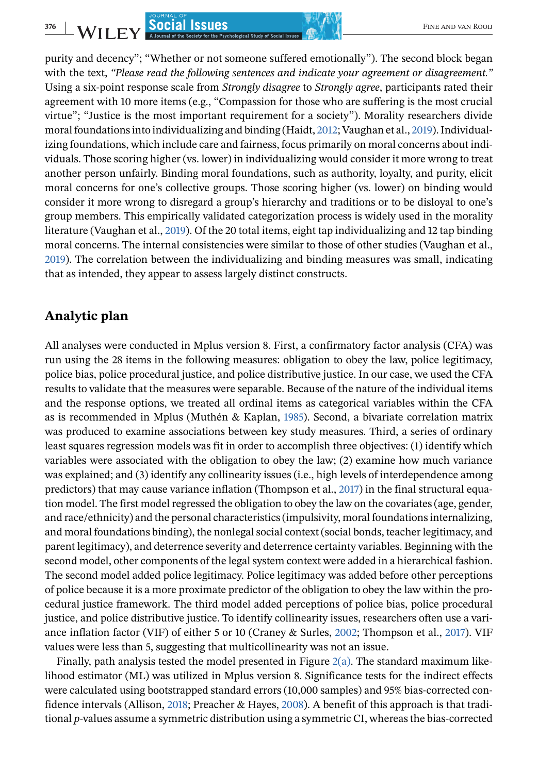purity and decency"; "Whether or not someone suffered emotionally"). The second block began with the text, *"Please read the following sentences and indicate your agreement or disagreement."* Using a six-point response scale from *Strongly disagree* to *Strongly agree*, participants rated their agreement with 10 more items (e.g., "Compassion for those who are suffering is the most crucial virtue"; "Justice is the most important requirement for a society"). Morality researchers divide moral foundations into individualizing and binding (Haidt, [2012;](#page-22-0) Vaughan et al., [2019\)](#page-24-0). Individualizing foundations, which include care and fairness, focus primarily on moral concerns about individuals. Those scoring higher (vs. lower) in individualizing would consider it more wrong to treat another person unfairly. Binding moral foundations, such as authority, loyalty, and purity, elicit moral concerns for one's collective groups. Those scoring higher (vs. lower) on binding would consider it more wrong to disregard a group's hierarchy and traditions or to be disloyal to one's group members. This empirically validated categorization process is widely used in the morality literature (Vaughan et al., [2019\)](#page-24-0). Of the 20 total items, eight tap individualizing and 12 tap binding moral concerns. The internal consistencies were similar to those of other studies (Vaughan et al., [2019\)](#page-24-0). The correlation between the individualizing and binding measures was small, indicating that as intended, they appear to assess largely distinct constructs.

#### **Analytic plan**

All analyses were conducted in Mplus version 8. First, a confirmatory factor analysis (CFA) was run using the 28 items in the following measures: obligation to obey the law, police legitimacy, police bias, police procedural justice, and police distributive justice. In our case, we used the CFA results to validate that the measures were separable. Because of the nature of the individual items and the response options, we treated all ordinal items as categorical variables within the CFA as is recommended in Mplus (Muthén & Kaplan, [1985\)](#page-22-0). Second, a bivariate correlation matrix was produced to examine associations between key study measures. Third, a series of ordinary least squares regression models was fit in order to accomplish three objectives: (1) identify which variables were associated with the obligation to obey the law; (2) examine how much variance was explained; and (3) identify any collinearity issues (i.e., high levels of interdependence among predictors) that may cause variance inflation (Thompson et al., [2017\)](#page-23-0) in the final structural equation model. The first model regressed the obligation to obey the law on the covariates (age, gender, and race/ethnicity) and the personal characteristics (impulsivity, moral foundations internalizing, and moral foundations binding), the nonlegal social context (social bonds, teacher legitimacy, and parent legitimacy), and deterrence severity and deterrence certainty variables. Beginning with the second model, other components of the legal system context were added in a hierarchical fashion. The second model added police legitimacy. Police legitimacy was added before other perceptions of police because it is a more proximate predictor of the obligation to obey the law within the procedural justice framework. The third model added perceptions of police bias, police procedural justice, and police distributive justice. To identify collinearity issues, researchers often use a variance inflation factor (VIF) of either 5 or 10 (Craney & Surles, [2002;](#page-21-0) Thompson et al., [2017\)](#page-23-0). VIF values were less than 5, suggesting that multicollinearity was not an issue.

Finally, path analysis tested the model presented in Figure [2\(a\).](#page-11-0) The standard maximum likelihood estimator (ML) was utilized in Mplus version 8. Significance tests for the indirect effects were calculated using bootstrapped standard errors (10,000 samples) and 95% bias-corrected confidence intervals (Allison, [2018;](#page-21-0) Preacher & Hayes, [2008\)](#page-23-0). A benefit of this approach is that traditional *p*-values assume a symmetric distribution using a symmetric CI, whereas the bias-corrected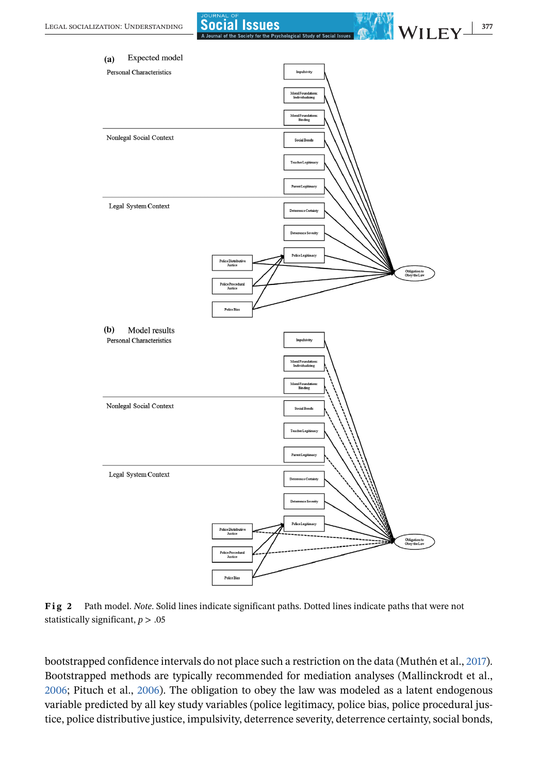<span id="page-11-0"></span>

**Fig 2** Path model. *Note*. Solid lines indicate significant paths. Dotted lines indicate paths that were not statistically significant, *p* > .05

bootstrapped confidence intervals do not place such a restriction on the data (Muthén et al., [2017\)](#page-22-0). Bootstrapped methods are typically recommended for mediation analyses (Mallinckrodt et al., [2006;](#page-22-0) Pituch et al., [2006\)](#page-23-0). The obligation to obey the law was modeled as a latent endogenous variable predicted by all key study variables (police legitimacy, police bias, police procedural justice, police distributive justice, impulsivity, deterrence severity, deterrence certainty, social bonds,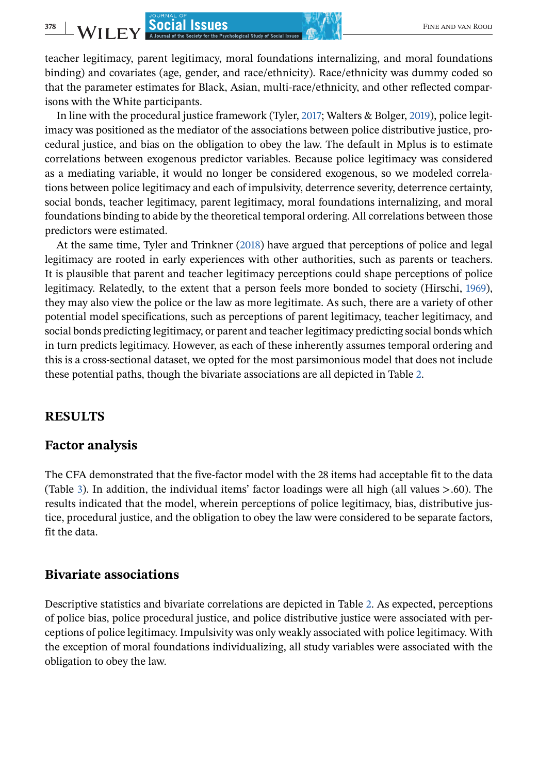teacher legitimacy, parent legitimacy, moral foundations internalizing, and moral foundations binding) and covariates (age, gender, and race/ethnicity). Race/ethnicity was dummy coded so that the parameter estimates for Black, Asian, multi-race/ethnicity, and other reflected comparisons with the White participants.

In line with the procedural justice framework (Tyler, [2017;](#page-24-0) Walters & Bolger, [2019\)](#page-24-0), police legitimacy was positioned as the mediator of the associations between police distributive justice, procedural justice, and bias on the obligation to obey the law. The default in Mplus is to estimate correlations between exogenous predictor variables. Because police legitimacy was considered as a mediating variable, it would no longer be considered exogenous, so we modeled correlations between police legitimacy and each of impulsivity, deterrence severity, deterrence certainty, social bonds, teacher legitimacy, parent legitimacy, moral foundations internalizing, and moral foundations binding to abide by the theoretical temporal ordering. All correlations between those predictors were estimated.

At the same time, Tyler and Trinkner [\(2018\)](#page-24-0) have argued that perceptions of police and legal legitimacy are rooted in early experiences with other authorities, such as parents or teachers. It is plausible that parent and teacher legitimacy perceptions could shape perceptions of police legitimacy. Relatedly, to the extent that a person feels more bonded to society (Hirschi, [1969\)](#page-22-0), they may also view the police or the law as more legitimate. As such, there are a variety of other potential model specifications, such as perceptions of parent legitimacy, teacher legitimacy, and social bonds predicting legitimacy, or parent and teacher legitimacy predicting social bonds which in turn predicts legitimacy. However, as each of these inherently assumes temporal ordering and this is a cross-sectional dataset, we opted for the most parsimonious model that does not include these potential paths, though the bivariate associations are all depicted in Table [2.](#page-8-0)

## **RESULTS**

#### **Factor analysis**

The CFA demonstrated that the five-factor model with the 28 items had acceptable fit to the data (Table [3\)](#page-13-0). In addition, the individual items' factor loadings were all high (all values >.60). The results indicated that the model, wherein perceptions of police legitimacy, bias, distributive justice, procedural justice, and the obligation to obey the law were considered to be separate factors, fit the data.

## **Bivariate associations**

Descriptive statistics and bivariate correlations are depicted in Table [2.](#page-8-0) As expected, perceptions of police bias, police procedural justice, and police distributive justice were associated with perceptions of police legitimacy. Impulsivity was only weakly associated with police legitimacy. With the exception of moral foundations individualizing, all study variables were associated with the obligation to obey the law.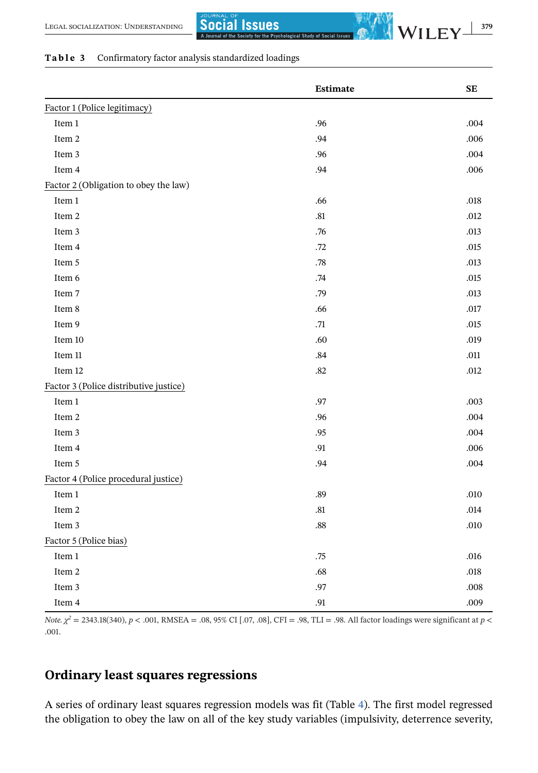#### <span id="page-13-0"></span>**Table 3** Confirmatory factor analysis standardized loadings

|                                        | Estimate | <b>SE</b> |
|----------------------------------------|----------|-----------|
| Factor 1 (Police legitimacy)           |          |           |
| Item $1\,$                             | .96      | .004      |
| Item 2                                 | .94      | .006      |
| Item 3                                 | .96      | .004      |
| Item 4                                 | .94      | .006      |
| Factor 2 (Obligation to obey the law)  |          |           |
| Item 1                                 | .66      | .018      |
| Item 2                                 | $.81\,$  | .012      |
| Item 3                                 | .76      | .013      |
| Item 4                                 | .72      | .015      |
| Item 5                                 | .78      | .013      |
| Item 6                                 | .74      | .015      |
| Item 7                                 | .79      | .013      |
| Item 8                                 | .66      | .017      |
| Item 9                                 | .71      | .015      |
| Item 10                                | .60      | .019      |
| Item 11                                | .84      | .011      |
| Item 12                                | .82      | .012      |
| Factor 3 (Police distributive justice) |          |           |
| Item 1                                 | .97      | .003      |
| Item 2                                 | .96      | .004      |
| Item 3                                 | .95      | .004      |
| Item 4                                 | .91      | .006      |
| Item 5                                 | .94      | .004      |
| Factor 4 (Police procedural justice)   |          |           |
| Item $1\,$                             | .89      | .010      |
| Item 2                                 | .81      | .014      |
| Item 3                                 | .88      | .010      |
| Factor 5 (Police bias)                 |          |           |
| Item $1\,$                             | .75      | .016      |
| Item $2\,$                             | .68      | .018      |
| Item 3                                 | .97      | .008      |
| Item 4                                 | .91      | .009      |

*Note.*  $\chi^2$  = 2343.18(340), *p* < .001, RMSEA = .08, 95% CI [.07, .08], CFI = .98, TLI = .98. All factor loadings were significant at *p* < .001.

## **Ordinary least squares regressions**

A series of ordinary least squares regression models was fit (Table [4\)](#page-14-0). The first model regressed the obligation to obey the law on all of the key study variables (impulsivity, deterrence severity,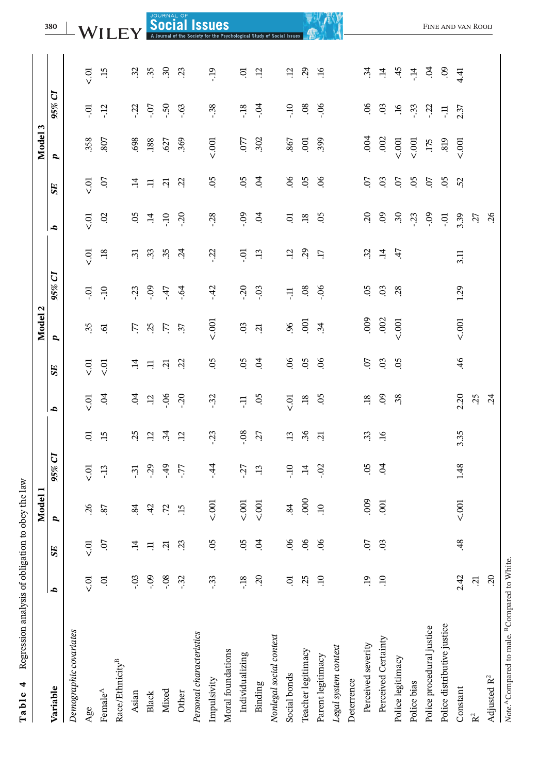| $\frac{1}{2}$<br>í<br>i<br>į<br>$\frac{1}{2}$<br>Ì<br>j<br>j |
|--------------------------------------------------------------|
| $-20.404$<br>ı<br>١<br>l                                     |
| $-1 - 2 - 3 - 3 - 3 - 1 - 1 = 2$<br>֧֝֟֟֘֝֬֝֟֟֟֬֝֬֝֟<br>l    |
| i<br>I<br>ł<br>١<br>í<br>I                                   |
|                                                              |
|                                                              |

<span id="page-14-0"></span>

|                             |                |                 | <b>Model</b>    |                |                 |                 |                | 2<br>Model     |                      |                 |                 |                | S<br><b>Model</b> |                       |                     |
|-----------------------------|----------------|-----------------|-----------------|----------------|-----------------|-----------------|----------------|----------------|----------------------|-----------------|-----------------|----------------|-------------------|-----------------------|---------------------|
| Variable                    | q              | <b>SE</b>       | d               | 95% CI         |                 | d               | SE             | d              | 95% CI               |                 | d               | SE <sub></sub> | P,                | J<br>95%              |                     |
| Demographic covariates      |                |                 |                 |                |                 |                 |                |                |                      |                 |                 |                |                   |                       |                     |
| Age                         | io.<br>V       | $\overline{C}$  | 26              | $\frac{5}{5}$  | S               | $\frac{1}{2}$   | $\frac{5}{5}$  | 35             | ō.                   | to<br>S         | $\overline{C}$  | 5<br>S         | .358              | Ģ                     | 5 <sub>0</sub>      |
| Female $^{\mathbb{A}}$      | ā              | CO.             | 87              | $-13$          | $\ddot{5}$      | $\ddot{5}$      | $\overline{C}$ | $\overline{6}$ | OL-                  | $\ddot{3}$      | $\overline{0}$  | CO.            | 807               | $-12$                 | $\ddot{5}$          |
| Race/Ethnicity <sup>B</sup> |                |                 |                 |                |                 |                 |                |                |                      |                 |                 |                |                   |                       |                     |
| Asian                       | $-0.3$         | ੜ               | 84              | $\ddot{3}$     | 25              | 5 <sup>4</sup>  | $\ddot{=}$     | L.             | $\ddot{3}$           | $\ddot{3}$      | 05              | $\ddot{=}$     | 698               | $-22$                 | 32                  |
| Black                       | $-0.09$        | Ę               | 42              | $-29$          | $\overline{12}$ | $\ddot{12}$     | $\Xi$          | 25             | $-0.9$               | 33              | $\vec{a}$       | $\Xi$          | .188              | $-0$                  | 35                  |
| Mixed                       | $-0.08$        | $\Xi$           | $\ddot{z}$      | $-49$          | $\ddot{3}$      | $-06$           | ក្             | 77             | $-47$                | 35              | $-10$           | Ξ.             | .627              | $-50$                 | 30                  |
| Other                       | $-32$          | $\ddot{3}$      | $\ddot{15}$     | -77            | $\ddot{5}$      | $-20$           | $\ddot{c}$     | 37             | $-64$                | $\ddot{5}$      | $-20$           | $\ddot{c}$     | .369              | $-63$                 | 23                  |
| Personal characteristics    |                |                 |                 |                |                 |                 |                |                |                      |                 |                 |                |                   |                       |                     |
| Impulsivity                 | $-33$          | .05             | 5001            | $-4$           | $-23$           | $-32$           | .05            | 5001           | $-42$                | $-22$           | $-28$           | 05             | 5.001             | $-38$                 | <b>et-</b>          |
| Moral foundations           |                |                 |                 |                |                 |                 |                |                |                      |                 |                 |                |                   |                       |                     |
| Individualizing             | $-18$          | S.              | 5001            | $-27$          | .08             | Ę               | SO.            | 03             | $-20$                | ō.              | $-0.9$          | 80             | .077              | $-18$                 | ā                   |
| Binding                     | 20             | $\ddot{5}$      | 5001            | $\ddot{1}$     | 27              | SO.             | $\overline{5}$ | $\overline{c}$ | $-03$                | $\ddot{1}$      | $\tilde{q}$     | $\mathfrak{S}$ | .302              | $-54$                 | ʻ5                  |
| Nonlegal social context     |                |                 |                 |                |                 |                 |                |                |                      |                 |                 |                |                   |                       |                     |
| Social bonds                | S              | 66              | 84              | $\Xi$          | $\ddot{13}$     | $\frac{1}{2}$   | 66             | 96             | Ę                    | 12              | ā               | $\overline{6}$ | 867               | $\overline{10}$       | ʻ5                  |
| Teacher legitimacy          | 25             | $\widetilde{5}$ | 000             | $\vec{=}$      | 36              | $\overline{18}$ | 05             | $\overline{5}$ | $\ddot{\phantom{0}}$ | $\overline{3}$  | $\overline{18}$ | 05             | .oo               | $\ddot{\circ}$        | $\overline{c}$      |
| Parent legitimacy           | $\ddot{0}$     | $\mathcal{S}$   | $\overline{10}$ | $\ddot{\circ}$ | ្អ              | $\ddot{\circ}$  | $\infty$       | 34             | $-06$                | $\overline{17}$ | 05              | $\delta$       | 399               | 90.                   | $\ddot{16}$         |
| Legal system context        |                |                 |                 |                |                 |                 |                |                |                      |                 |                 |                |                   |                       |                     |
| Deterrence                  |                |                 |                 |                |                 |                 |                |                |                      |                 |                 |                |                   |                       |                     |
| Perceived severity          | $\ddot{5}$     | CO.             | 000             | S.             | 33              | $\overline{18}$ | <b>CO</b> .    | $000$ .        | $\overline{0}$       | 32              | $\mathcal{L}$   | 0              | .004              | S.                    | $\ddot{3}$          |
| Perceived Certainty         | $\overline{a}$ | 03              | .001            | $\ddot{5}$     | $\overline{16}$ | $\overline{0}$  | 03             | .002           | $\mathbf{S}$         | $\ddot{a}$      | $\overline{0}$  | 03             | .002              | $\rm g$               | $\ddot{=}$          |
| Police legitimacy           |                |                 |                 |                |                 | 38              | 05             | 5.001          | 28                   | 47              | 30              | $\overline{0}$ | 500               | $\mathfrak{g}_\Gamma$ | $-45$               |
| Police bias                 |                |                 |                 |                |                 |                 |                |                |                      |                 | $\ddot{3}$      | 05             | $\overline{0}$    | $\cdot$ 3             | $\ddot{=}$          |
| Police procedural justice   |                |                 |                 |                |                 |                 |                |                |                      |                 | $-0.9$          | 07             | .175              | $-22$                 | $\ddot{5}$          |
| Police distributive justice |                |                 |                 |                |                 |                 |                |                |                      |                 | ic-             | 05             | .819              | Ę                     | $\ddot{\mathrm{e}}$ |
| Constant                    | 2.42           | 48              | 5001            | 1.48           | 3.35            | 2.20            | $\ddot{ }$     | 5001           | 1.29                 | 3.11            | 3.39            | 52             | 500               | 2.37                  | 4.41                |
| $\mathbf{R}^2$              | $\ddot{c}$     |                 |                 |                |                 | 25              |                |                |                      |                 | 27              |                |                   |                       |                     |
| Adjusted $\mathbb{R}^2$     | 20             |                 |                 |                |                 | $\ddot{c}$      |                |                |                      |                 | 26              |                |                   |                       |                     |

ÿ.

Note.<sup>A</sup>Compared to male.<sup>B</sup>Compared to White.

Note.<sup>A</sup>Compared to male. <sup>B</sup>Compared to White.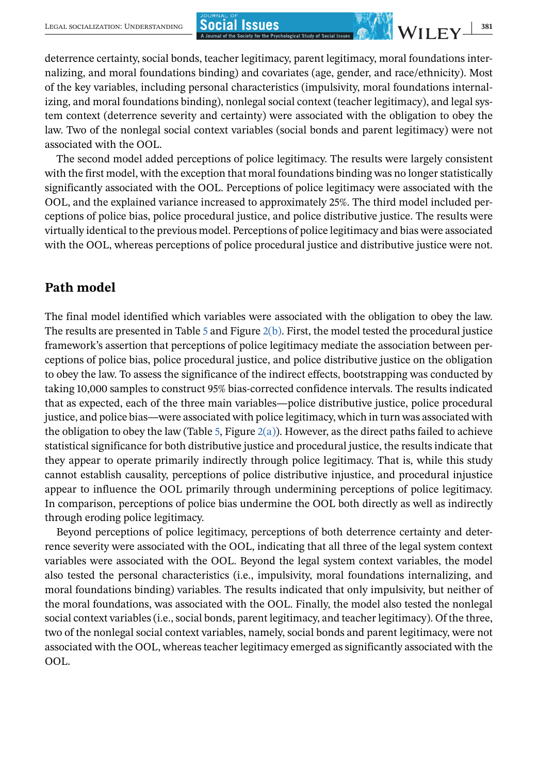deterrence certainty, social bonds, teacher legitimacy, parent legitimacy, moral foundations internalizing, and moral foundations binding) and covariates (age, gender, and race/ethnicity). Most of the key variables, including personal characteristics (impulsivity, moral foundations internalizing, and moral foundations binding), nonlegal social context (teacher legitimacy), and legal system context (deterrence severity and certainty) were associated with the obligation to obey the law. Two of the nonlegal social context variables (social bonds and parent legitimacy) were not associated with the OOL.

The second model added perceptions of police legitimacy. The results were largely consistent with the first model, with the exception that moral foundations binding was no longer statistically significantly associated with the OOL. Perceptions of police legitimacy were associated with the OOL, and the explained variance increased to approximately 25%. The third model included perceptions of police bias, police procedural justice, and police distributive justice. The results were virtually identical to the previous model. Perceptions of police legitimacy and bias were associated with the OOL, whereas perceptions of police procedural justice and distributive justice were not.

#### **Path model**

The final model identified which variables were associated with the obligation to obey the law. The results are presented in Table [5](#page-16-0) and Figure [2\(b\).](#page-11-0) First, the model tested the procedural justice framework's assertion that perceptions of police legitimacy mediate the association between perceptions of police bias, police procedural justice, and police distributive justice on the obligation to obey the law. To assess the significance of the indirect effects, bootstrapping was conducted by taking 10,000 samples to construct 95% bias-corrected confidence intervals. The results indicated that as expected, each of the three main variables—police distributive justice, police procedural justice, and police bias—were associated with police legitimacy, which in turn was associated with the obligation to obey the law (Table [5,](#page-16-0) Figure  $2(a)$ ). However, as the direct paths failed to achieve statistical significance for both distributive justice and procedural justice, the results indicate that they appear to operate primarily indirectly through police legitimacy. That is, while this study cannot establish causality, perceptions of police distributive injustice, and procedural injustice appear to influence the OOL primarily through undermining perceptions of police legitimacy. In comparison, perceptions of police bias undermine the OOL both directly as well as indirectly through eroding police legitimacy.

Beyond perceptions of police legitimacy, perceptions of both deterrence certainty and deterrence severity were associated with the OOL, indicating that all three of the legal system context variables were associated with the OOL. Beyond the legal system context variables, the model also tested the personal characteristics (i.e., impulsivity, moral foundations internalizing, and moral foundations binding) variables. The results indicated that only impulsivity, but neither of the moral foundations, was associated with the OOL. Finally, the model also tested the nonlegal social context variables (i.e., social bonds, parent legitimacy, and teacher legitimacy). Of the three, two of the nonlegal social context variables, namely, social bonds and parent legitimacy, were not associated with the OOL, whereas teacher legitimacy emerged as significantly associated with the OOL.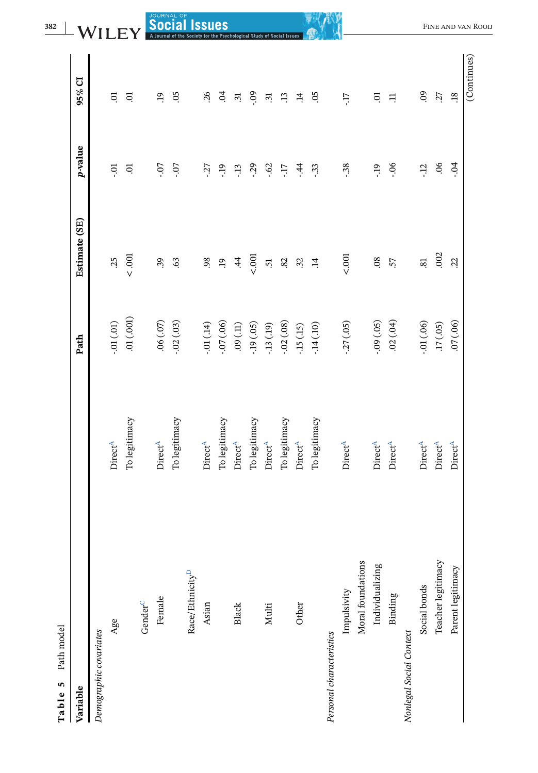<span id="page-16-0"></span>

| Path model<br>Table 5       |                                             |               |                          |              |                       |                                |
|-----------------------------|---------------------------------------------|---------------|--------------------------|--------------|-----------------------|--------------------------------|
| Variable                    |                                             | Path          | Estimate (SE)            | p-value      | 95% CI                |                                |
| Demographic covariates      |                                             |               |                          |              |                       |                                |
| Age                         | DirectA                                     | $-.01(0.01)$  | $\tilde{\mathcal{L}}$    | ៊ុ           | ē                     |                                |
|                             | To legitimacy                               | .01(001)      | $< .001$                 | S.           | S.                    |                                |
| Gender <sup>C</sup>         |                                             |               |                          |              |                       |                                |
| Female                      | Direct <sup>A</sup>                         | $.06\,(.07)$  | 39                       | LO.          | e.                    | <b>SOCIAL OF SOCIAL ISSUES</b> |
|                             | To legitimacy                               | $-02(03)$     | 63                       | $\ddot{o}$ . | S.                    |                                |
| Race/Ethnicity <sup>D</sup> |                                             |               |                          |              |                       |                                |
| Asian                       | <b>Direct<sup>A</sup></b>                   | $-.01(14)$    | 98                       | $-27$        | $\tilde{\mathcal{L}}$ |                                |
|                             | To legitimacy                               | $-07(06)$     | $\ddot{5}$               | $-19$        | $\overline{6}$        |                                |
| Black                       | Direct <sup>A</sup>                         | $(11)$ $60\,$ | $\dot{4}$                | $-13$        | $\ddot{3}$            |                                |
|                             | To legitimacy                               | $-19(05)$     | 5001                     | $-29$        | <b>eo-</b>            | for the Psychological Study    |
| Multi                       | Direct <sup>A</sup>                         | $-13(19)$     | 5                        | $-0.62$      | $\ddot{3}$            |                                |
|                             | To legitimacy                               | $-.02(.08)$   | $82$                     | Ľ.           | $\ddot{1}$            |                                |
| Other                       | $\mathop{\rm Direct}\nolimits^{\mathbb{A}}$ | $-15(15)$     | 32                       | $-44$        | $\ddot{=}$            |                                |
|                             | To legitimacy                               | $-14(10)$     | $\ddot{=}$               | $-33$        | $\overline{c}$        |                                |
| Personal characteristics    |                                             |               |                          |              |                       |                                |
| Impulsivity                 | <b>Direct<sup>A</sup></b>                   | $-27(05)$     | 5001                     | $-38$        | LT-                   |                                |
| Moral foundations           |                                             |               |                          |              |                       |                                |
| Individualizing             | Direct <sup>A</sup>                         | $-0.09(05)$   | .08                      | $-19$        | <b>ic</b>             |                                |
| Binding                     | <b>Direct<sup>A</sup></b>                   | .02(.04)      | 57                       | $-06$        | $\Xi$                 |                                |
| Nonlegal Social Context     |                                             |               |                          |              |                       |                                |
| Social bonds                | <b>Direct<sup>A</sup></b>                   | $-.01(.06)$   | $\overline{\mathrm{sl}}$ | $-12$        | 09                    |                                |
| Teacher legitimacy          | Direct <sup>A</sup>                         | .17(05)       | .002                     | 06           | 27                    |                                |
| Parent legitimacy           | <b>Direct<sup>A</sup></b>                   | (00')10.      | Ż,                       | $-0.4$       | $\overline{18}$       |                                |
|                             |                                             |               |                          |              | (Continues)           | FINE AND VAN ROOIJ             |
|                             |                                             |               |                          |              |                       |                                |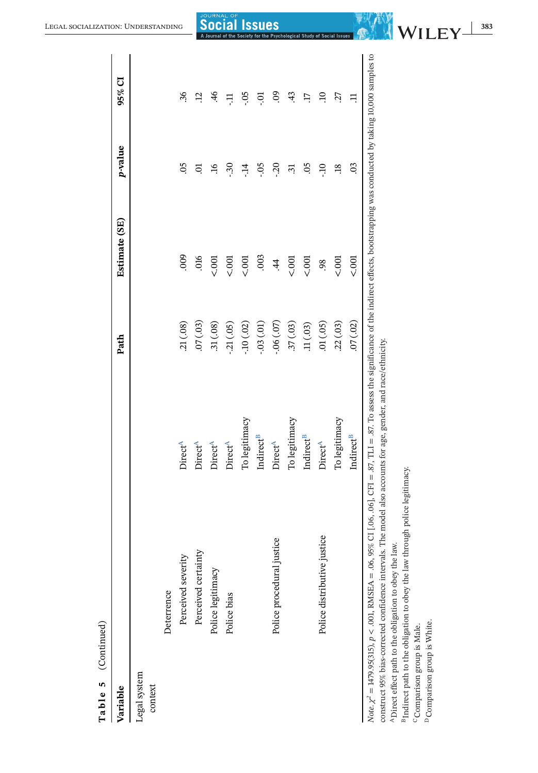<span id="page-17-0"></span>

| Table 5 (Continued)                                                                                                                                                                                                                                                                                                                                                                                      |                           |            |               |                      |                  |
|----------------------------------------------------------------------------------------------------------------------------------------------------------------------------------------------------------------------------------------------------------------------------------------------------------------------------------------------------------------------------------------------------------|---------------------------|------------|---------------|----------------------|------------------|
| Variable                                                                                                                                                                                                                                                                                                                                                                                                 |                           | Path       | Estimate (SE) | p-value              | 95% CI           |
| Legal system<br>context                                                                                                                                                                                                                                                                                                                                                                                  |                           |            |               |                      |                  |
| Deterrence                                                                                                                                                                                                                                                                                                                                                                                               |                           |            |               |                      |                  |
| Perceived severity                                                                                                                                                                                                                                                                                                                                                                                       | Direct <sup>A</sup>       | .21(.08)   | 000           | $\overline{6}$       | 36               |
| Perceived certainty                                                                                                                                                                                                                                                                                                                                                                                      | Direct <sup>A</sup>       | .07(.03)   | .016          | ੜ                    | ij.              |
| Police legitimacy                                                                                                                                                                                                                                                                                                                                                                                        | <b>Direct<sup>A</sup></b> | .31(.08)   | 5001          | 9Ļ.                  | $\frac{4}{6}$    |
| Police bias                                                                                                                                                                                                                                                                                                                                                                                              | <b>Direct<sup>A</sup></b> | $-21(05)$  | 5001          | $\ddot{\mathcal{S}}$ | Ę                |
|                                                                                                                                                                                                                                                                                                                                                                                                          | To legitimacy             | $-10(02)$  | 5001          | بڊ<br>-              | -.05             |
|                                                                                                                                                                                                                                                                                                                                                                                                          | Indirect <sup>B</sup>     | $-03(01)$  | .003          | -.05                 | ಕ್ಷ              |
| Police procedural justice                                                                                                                                                                                                                                                                                                                                                                                | <b>Direct<sup>A</sup></b> | $-06(.07)$ | $\dot{4}$     | $-20$                | $\overline{6}$   |
|                                                                                                                                                                                                                                                                                                                                                                                                          | To legitimacy             | .37(.03)   | 5001          | $\ddot{3}$           | 43               |
|                                                                                                                                                                                                                                                                                                                                                                                                          | Indirect <sup>B</sup>     | .11(03)    | 5001          | SO.                  | $\overline{\Pi}$ |
| Police distributive justice                                                                                                                                                                                                                                                                                                                                                                              | Direct <sup>A</sup>       | (01)(05)   | 98            | OL-                  | $\Xi$            |
|                                                                                                                                                                                                                                                                                                                                                                                                          | To legitimacy             | .22(.03)   | 5001          | $\ddot{18}$          | 27               |
|                                                                                                                                                                                                                                                                                                                                                                                                          | Indirect <sup>B</sup>     | 07(.02)    | 5001          | $\overline{c}$       | Ξ                |
| Note $\chi^2 = 1479.95(315)$ , $p < 0.01$ , RMSEA = $0.06$ , 95% CI [.06, .06], CFI = 87, TL1 = 87. To assess the significance of the indirect effects, bootstrapping was conducted by taking 10,000 samples to<br>construct 95% bias-corrected confidence intervals. The model also accounts for age, gender, and race/ethnicity.<br><sup>A</sup> Direct effect path to the obligation to obey the law. |                           |            |               |                      |                  |
| <sup>B</sup> Indirect path to the obligation to obey the law through police legitimacy.                                                                                                                                                                                                                                                                                                                  |                           |            |               |                      |                  |
| <sup>D</sup> Comparison group is White.<br><sup>C</sup> Comparison group is Male.                                                                                                                                                                                                                                                                                                                        |                           |            |               |                      |                  |
|                                                                                                                                                                                                                                                                                                                                                                                                          |                           |            |               |                      |                  |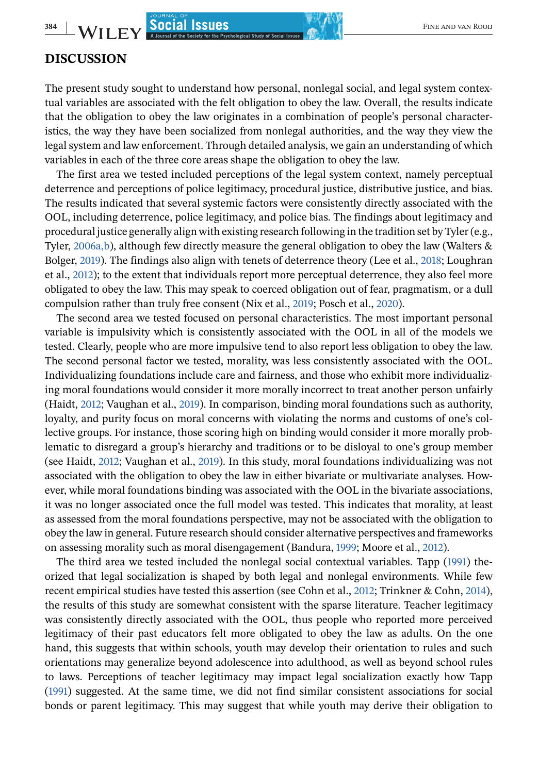#### **DISCUSSION**

The present study sought to understand how personal, nonlegal social, and legal system contextual variables are associated with the felt obligation to obey the law. Overall, the results indicate that the obligation to obey the law originates in a combination of people's personal characteristics, the way they have been socialized from nonlegal authorities, and the way they view the legal system and law enforcement. Through detailed analysis, we gain an understanding of which variables in each of the three core areas shape the obligation to obey the law.

The first area we tested included perceptions of the legal system context, namely perceptual deterrence and perceptions of police legitimacy, procedural justice, distributive justice, and bias. The results indicated that several systemic factors were consistently directly associated with the OOL, including deterrence, police legitimacy, and police bias. The findings about legitimacy and procedural justice generally align with existing research following in the tradition set by Tyler (e.g., Tyler, [2006a,b\)](#page-24-0), although few directly measure the general obligation to obey the law (Walters & Bolger, [2019\)](#page-24-0). The findings also align with tenets of deterrence theory (Lee et al., [2018;](#page-22-0) Loughran et al., [2012\)](#page-22-0); to the extent that individuals report more perceptual deterrence, they also feel more obligated to obey the law. This may speak to coerced obligation out of fear, pragmatism, or a dull compulsion rather than truly free consent (Nix et al., [2019;](#page-23-0) Posch et al., [2020\)](#page-23-0).

The second area we tested focused on personal characteristics. The most important personal variable is impulsivity which is consistently associated with the OOL in all of the models we tested. Clearly, people who are more impulsive tend to also report less obligation to obey the law. The second personal factor we tested, morality, was less consistently associated with the OOL. Individualizing foundations include care and fairness, and those who exhibit more individualizing moral foundations would consider it more morally incorrect to treat another person unfairly (Haidt, [2012;](#page-22-0) Vaughan et al., [2019\)](#page-24-0). In comparison, binding moral foundations such as authority, loyalty, and purity focus on moral concerns with violating the norms and customs of one's collective groups. For instance, those scoring high on binding would consider it more morally problematic to disregard a group's hierarchy and traditions or to be disloyal to one's group member (see Haidt, [2012;](#page-22-0) Vaughan et al., [2019\)](#page-24-0). In this study, moral foundations individualizing was not associated with the obligation to obey the law in either bivariate or multivariate analyses. However, while moral foundations binding was associated with the OOL in the bivariate associations, it was no longer associated once the full model was tested. This indicates that morality, at least as assessed from the moral foundations perspective, may not be associated with the obligation to obey the law in general. Future research should consider alternative perspectives and frameworks on assessing morality such as moral disengagement (Bandura, [1999;](#page-21-0) Moore et al., [2012\)](#page-22-0).

The third area we tested included the nonlegal social contextual variables. Tapp [\(1991\)](#page-23-0) theorized that legal socialization is shaped by both legal and nonlegal environments. While few recent empirical studies have tested this assertion (see Cohn et al., [2012;](#page-21-0) Trinkner & Cohn, [2014\)](#page-24-0), the results of this study are somewhat consistent with the sparse literature. Teacher legitimacy was consistently directly associated with the OOL, thus people who reported more perceived legitimacy of their past educators felt more obligated to obey the law as adults. On the one hand, this suggests that within schools, youth may develop their orientation to rules and such orientations may generalize beyond adolescence into adulthood, as well as beyond school rules to laws. Perceptions of teacher legitimacy may impact legal socialization exactly how Tapp [\(1991\)](#page-23-0) suggested. At the same time, we did not find similar consistent associations for social bonds or parent legitimacy. This may suggest that while youth may derive their obligation to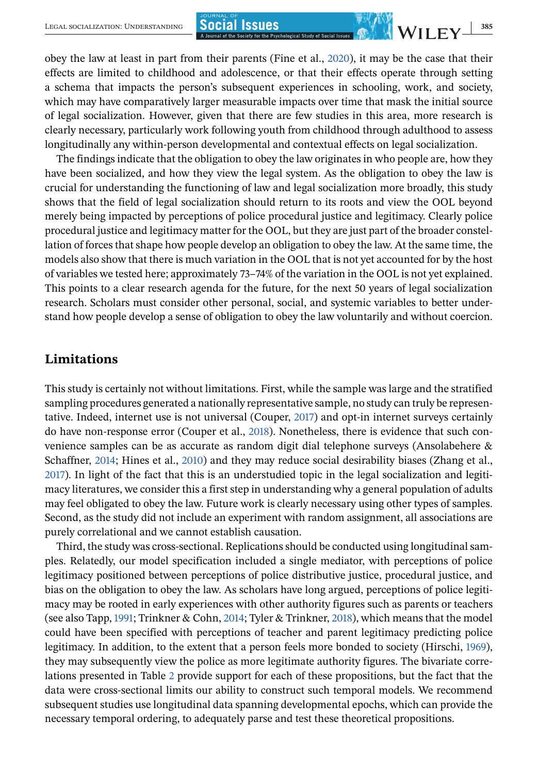obey the law at least in part from their parents (Fine et al., [2020\)](#page-21-0), it may be the case that their effects are limited to childhood and adolescence, or that their effects operate through setting a schema that impacts the person's subsequent experiences in schooling, work, and society, which may have comparatively larger measurable impacts over time that mask the initial source of legal socialization. However, given that there are few studies in this area, more research is clearly necessary, particularly work following youth from childhood through adulthood to assess longitudinally any within-person developmental and contextual effects on legal socialization.

The findings indicate that the obligation to obey the law originates in who people are, how they have been socialized, and how they view the legal system. As the obligation to obey the law is crucial for understanding the functioning of law and legal socialization more broadly, this study shows that the field of legal socialization should return to its roots and view the OOL beyond merely being impacted by perceptions of police procedural justice and legitimacy. Clearly police procedural justice and legitimacy matter for the OOL, but they are just part of the broader constellation of forces that shape how people develop an obligation to obey the law. At the same time, the models also show that there is much variation in the OOL that is not yet accounted for by the host of variables we tested here; approximately 73–74% of the variation in the OOL is not yet explained. This points to a clear research agenda for the future, for the next 50 years of legal socialization research. Scholars must consider other personal, social, and systemic variables to better understand how people develop a sense of obligation to obey the law voluntarily and without coercion.

## **Limitations**

This study is certainly not without limitations. First, while the sample was large and the stratified sampling procedures generated a nationally representative sample, no study can truly be representative. Indeed, internet use is not universal (Couper, [2017\)](#page-21-0) and opt-in internet surveys certainly do have non-response error (Couper et al., [2018\)](#page-21-0). Nonetheless, there is evidence that such convenience samples can be as accurate as random digit dial telephone surveys (Ansolabehere & Schaffner, [2014;](#page-21-0) Hines et al., [2010\)](#page-22-0) and they may reduce social desirability biases (Zhang et al., [2017\)](#page-24-0). In light of the fact that this is an understudied topic in the legal socialization and legitimacy literatures, we consider this a first step in understanding why a general population of adults may feel obligated to obey the law. Future work is clearly necessary using other types of samples. Second, as the study did not include an experiment with random assignment, all associations are purely correlational and we cannot establish causation.

Third, the study was cross-sectional. Replications should be conducted using longitudinal samples. Relatedly, our model specification included a single mediator, with perceptions of police legitimacy positioned between perceptions of police distributive justice, procedural justice, and bias on the obligation to obey the law. As scholars have long argued, perceptions of police legitimacy may be rooted in early experiences with other authority figures such as parents or teachers (see also Tapp, [1991;](#page-23-0) Trinkner & Cohn, [2014;](#page-24-0) Tyler & Trinkner, [2018\)](#page-24-0), which means that the model could have been specified with perceptions of teacher and parent legitimacy predicting police legitimacy. In addition, to the extent that a person feels more bonded to society (Hirschi, [1969\)](#page-22-0), they may subsequently view the police as more legitimate authority figures. The bivariate correlations presented in Table [2](#page-8-0) provide support for each of these propositions, but the fact that the data were cross-sectional limits our ability to construct such temporal models. We recommend subsequent studies use longitudinal data spanning developmental epochs, which can provide the necessary temporal ordering, to adequately parse and test these theoretical propositions.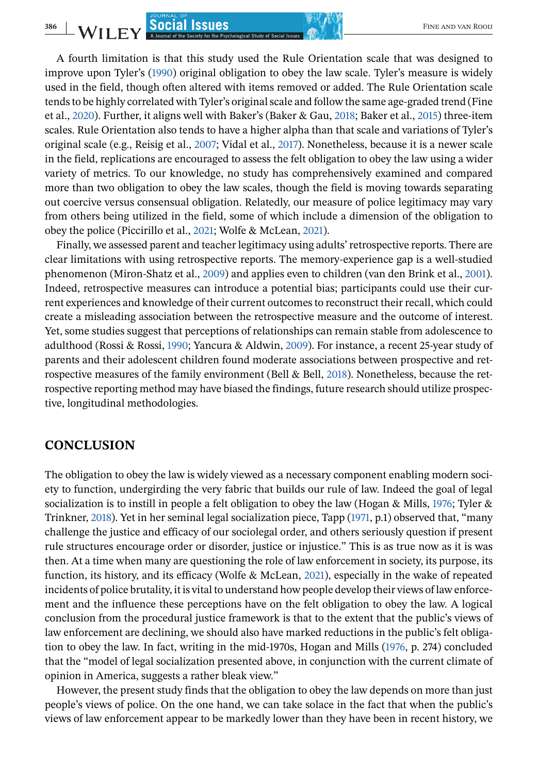**386** FINE AND VAN ROOIL **SOCIAL SSUES** 

A fourth limitation is that this study used the Rule Orientation scale that was designed to improve upon Tyler's [\(1990\)](#page-24-0) original obligation to obey the law scale. Tyler's measure is widely used in the field, though often altered with items removed or added. The Rule Orientation scale tends to be highly correlated with Tyler's original scale and follow the same age-graded trend (Fine et al., [2020\)](#page-21-0). Further, it aligns well with Baker's (Baker & Gau, [2018;](#page-21-0) Baker et al., [2015\)](#page-21-0) three-item scales. Rule Orientation also tends to have a higher alpha than that scale and variations of Tyler's original scale (e.g., Reisig et al., [2007;](#page-23-0) Vidal et al., [2017\)](#page-24-0). Nonetheless, because it is a newer scale in the field, replications are encouraged to assess the felt obligation to obey the law using a wider variety of metrics. To our knowledge, no study has comprehensively examined and compared more than two obligation to obey the law scales, though the field is moving towards separating out coercive versus consensual obligation. Relatedly, our measure of police legitimacy may vary from others being utilized in the field, some of which include a dimension of the obligation to obey the police (Piccirillo et al., [2021;](#page-23-0) Wolfe & McLean, [2021\)](#page-24-0).

Finally, we assessed parent and teacher legitimacy using adults' retrospective reports. There are clear limitations with using retrospective reports. The memory-experience gap is a well-studied phenomenon (Miron-Shatz et al., [2009\)](#page-22-0) and applies even to children (van den Brink et al., [2001\)](#page-24-0). Indeed, retrospective measures can introduce a potential bias; participants could use their current experiences and knowledge of their current outcomes to reconstruct their recall, which could create a misleading association between the retrospective measure and the outcome of interest. Yet, some studies suggest that perceptions of relationships can remain stable from adolescence to adulthood (Rossi & Rossi, [1990;](#page-23-0) Yancura & Aldwin, [2009\)](#page-24-0). For instance, a recent 25-year study of parents and their adolescent children found moderate associations between prospective and retrospective measures of the family environment (Bell & Bell, [2018\)](#page-21-0). Nonetheless, because the retrospective reporting method may have biased the findings, future research should utilize prospective, longitudinal methodologies.

#### **CONCLUSION**

The obligation to obey the law is widely viewed as a necessary component enabling modern society to function, undergirding the very fabric that builds our rule of law. Indeed the goal of legal socialization is to instill in people a felt obligation to obey the law (Hogan & Mills, [1976;](#page-22-0) Tyler & Trinkner, [2018\)](#page-24-0). Yet in her seminal legal socialization piece, Tapp [\(1971,](#page-23-0) p.1) observed that, "many challenge the justice and efficacy of our sociolegal order, and others seriously question if present rule structures encourage order or disorder, justice or injustice." This is as true now as it is was then. At a time when many are questioning the role of law enforcement in society, its purpose, its function, its history, and its efficacy (Wolfe & McLean, [2021\)](#page-24-0), especially in the wake of repeated incidents of police brutality, it is vital to understand how people develop their views of law enforcement and the influence these perceptions have on the felt obligation to obey the law. A logical conclusion from the procedural justice framework is that to the extent that the public's views of law enforcement are declining, we should also have marked reductions in the public's felt obligation to obey the law. In fact, writing in the mid-1970s, Hogan and Mills [\(1976,](#page-22-0) p. 274) concluded that the "model of legal socialization presented above, in conjunction with the current climate of opinion in America, suggests a rather bleak view."

However, the present study finds that the obligation to obey the law depends on more than just people's views of police. On the one hand, we can take solace in the fact that when the public's views of law enforcement appear to be markedly lower than they have been in recent history, we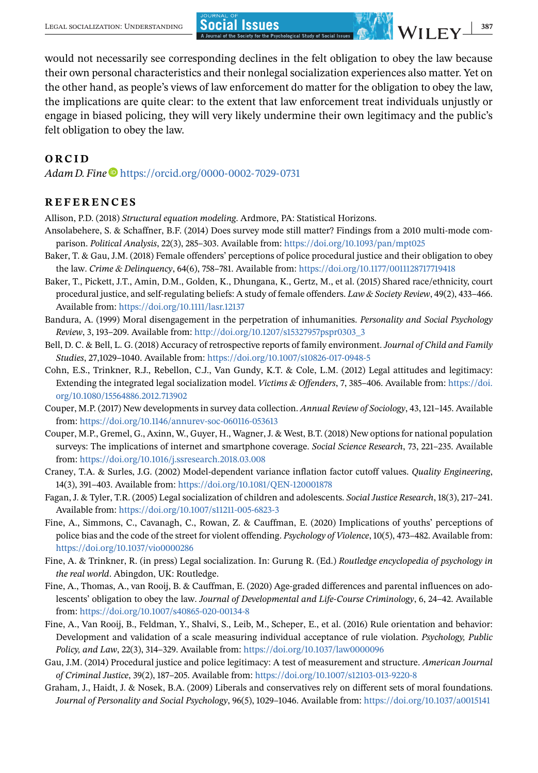<span id="page-21-0"></span>would not necessarily see corresponding declines in the felt obligation to obey the law because their own personal characteristics and their nonlegal socialization experiences also matter. Yet on the other hand, as people's views of law enforcement do matter for the obligation to obey the law,

the implications are quite clear: to the extent that law enforcement treat individuals unjustly or engage in biased policing, they will very likely undermine their own legitimacy and the public's felt obligation to obey the law.

## **ORCID**

*Adam D. Fine*  $\blacksquare$  <https://orcid.org/0000-0002-7029-0731>

## **REFERENCES**

Allison, P.D. (2018) *Structural equation modeling*. Ardmore, PA: Statistical Horizons.

- Ansolabehere, S. & Schaffner, B.F. (2014) Does survey mode still matter? Findings from a 2010 multi-mode comparison. *Political Analysis*, 22(3), 285–303. Available from: <https://doi.org/10.1093/pan/mpt025>
- Baker, T. & Gau, J.M. (2018) Female offenders' perceptions of police procedural justice and their obligation to obey the law. *Crime & Delinquency*, 64(6), 758–781. Available from: <https://doi.org/10.1177/0011128717719418>
- Baker, T., Pickett, J.T., Amin, D.M., Golden, K., Dhungana, K., Gertz, M., et al. (2015) Shared race/ethnicity, court procedural justice, and self-regulating beliefs: A study of female offenders. *Law & Society Review*, 49(2), 433–466. Available from: <https://doi.org/10.1111/lasr.12137>
- Bandura, A. (1999) Moral disengagement in the perpetration of inhumanities. *Personality and Social Psychology Review*, 3, 193–209. Available from: [http://doi.org/10.1207/s15327957pspr0303\\_3](http://doi.org/10.1207/s15327957pspr0303_3)
- Bell, D. C. & Bell, L. G. (2018) Accuracy of retrospective reports of family environment. *Journal of Child and Family Studies*, 27,1029–1040. Available from: <https://doi.org/10.1007/s10826-017-0948-5>
- Cohn, E.S., Trinkner, R.J., Rebellon, C.J., Van Gundy, K.T. & Cole, L.M. (2012) Legal attitudes and legitimacy: Extending the integrated legal socialization model. *Victims & Offenders*, 7, 385–406. Available from: [https://doi.](https://doi.org/10.1080/15564886.2012.713902) [org/10.1080/15564886.2012.713902](https://doi.org/10.1080/15564886.2012.713902)
- Couper, M.P. (2017) New developments in survey data collection. *Annual Review of Sociology*, 43, 121–145. Available from: <https://doi.org/10.1146/annurev-soc-060116-053613>
- Couper, M.P., Gremel, G., Axinn, W., Guyer, H., Wagner, J. & West, B.T. (2018) New options for national population surveys: The implications of internet and smartphone coverage. *Social Science Research*, 73, 221–235. Available from: <https://doi.org/10.1016/j.ssresearch.2018.03.008>
- Craney, T.A. & Surles, J.G. (2002) Model-dependent variance inflation factor cutoff values. *Quality Engineering*, 14(3), 391–403. Available from: <https://doi.org/10.1081/QEN-120001878>
- Fagan, J. & Tyler, T.R. (2005) Legal socialization of children and adolescents. *Social Justice Research*, 18(3), 217–241. Available from: <https://doi.org/10.1007/s11211-005-6823-3>
- Fine, A., Simmons, C., Cavanagh, C., Rowan, Z. & Cauffman, E. (2020) Implications of youths' perceptions of police bias and the code of the street for violent offending. *Psychology of Violence*, 10(5), 473–482. Available from: <https://doi.org/10.1037/vio0000286>
- Fine, A. & Trinkner, R. (in press) Legal socialization. In: Gurung R. (Ed.) *Routledge encyclopedia of psychology in the real world*. Abingdon, UK: Routledge.
- Fine, A., Thomas, A., van Rooij, B. & Cauffman, E. (2020) Age-graded differences and parental influences on adolescents' obligation to obey the law. *Journal of Developmental and Life-Course Criminology*, 6, 24–42. Available from: <https://doi.org/10.1007/s40865-020-00134-8>
- Fine, A., Van Rooij, B., Feldman, Y., Shalvi, S., Leib, M., Scheper, E., et al. (2016) Rule orientation and behavior: Development and validation of a scale measuring individual acceptance of rule violation. *Psychology, Public Policy, and Law*, 22(3), 314–329. Available from: <https://doi.org/10.1037/law0000096>
- Gau, J.M. (2014) Procedural justice and police legitimacy: A test of measurement and structure. *American Journal of Criminal Justice*, 39(2), 187–205. Available from: <https://doi.org/10.1007/s12103-013-9220-8>
- Graham, J., Haidt, J. & Nosek, B.A. (2009) Liberals and conservatives rely on different sets of moral foundations. *Journal of Personality and Social Psychology*, 96(5), 1029–1046. Available from: <https://doi.org/10.1037/a0015141>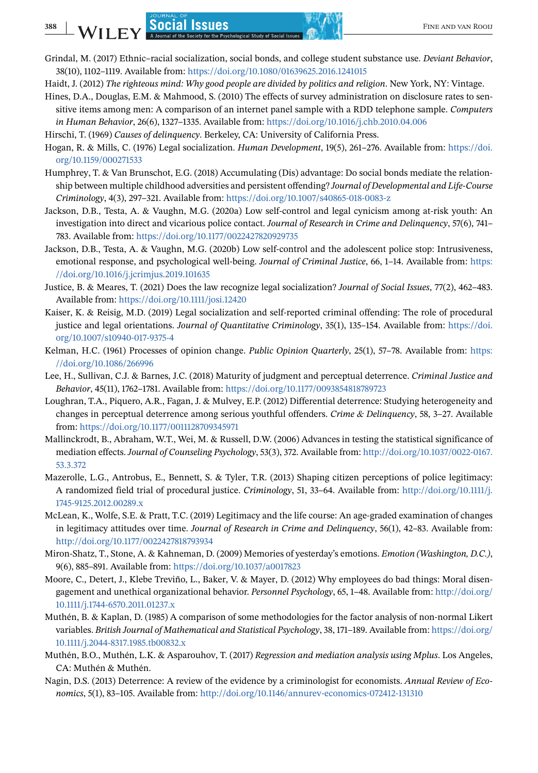- Grindal, M. (2017) Ethnic–racial socialization, social bonds, and college student substance use. *Deviant Behavior*, 38(10), 1102–1119. Available from: <https://doi.org/10.1080/01639625.2016.1241015>
- Haidt, J. (2012) *The righteous mind: Why good people are divided by politics and religion*. New York, NY: Vintage.
- Hines, D.A., Douglas, E.M. & Mahmood, S. (2010) The effects of survey administration on disclosure rates to sensitive items among men: A comparison of an internet panel sample with a RDD telephone sample. *Computers in Human Behavior*, 26(6), 1327–1335. Available from: <https://doi.org/10.1016/j.chb.2010.04.006>
- Hirschi, T. (1969) *Causes of delinquency*. Berkeley, CA: University of California Press.
- Hogan, R. & Mills, C. (1976) Legal socialization. *Human Development*, 19(5), 261–276. Available from: [https://doi.](https://doi.org/10.1159/000271533) [org/10.1159/000271533](https://doi.org/10.1159/000271533)
- Humphrey, T. & Van Brunschot, E.G. (2018) Accumulating (Dis) advantage: Do social bonds mediate the relationship between multiple childhood adversities and persistent offending? *Journal of Developmental and Life-Course Criminology*, 4(3), 297–321. Available from: <https://doi.org/10.1007/s40865-018-0083-z>
- Jackson, D.B., Testa, A. & Vaughn, M.G. (2020a) Low self-control and legal cynicism among at-risk youth: An investigation into direct and vicarious police contact. *Journal of Research in Crime and Delinquency*, 57(6), 741– 783. Available from: <https://doi.org/10.1177/0022427820929735>
- Jackson, D.B., Testa, A. & Vaughn, M.G. (2020b) Low self-control and the adolescent police stop: Intrusiveness, emotional response, and psychological well-being. *Journal of Criminal Justice*, 66, 1–14. Available from: [https:](https://doi.org/10.1016/j.jcrimjus.2019.101635) [//doi.org/10.1016/j.jcrimjus.2019.101635](https://doi.org/10.1016/j.jcrimjus.2019.101635)
- Justice, B. & Meares, T. (2021) Does the law recognize legal socialization? *Journal of Social Issues*, 77(2), 462–483. Available from: <https://doi.org/10.1111/josi.12420>
- Kaiser, K. & Reisig, M.D. (2019) Legal socialization and self-reported criminal offending: The role of procedural justice and legal orientations. *Journal of Quantitative Criminology*, 35(1), 135–154. Available from: [https://doi.](https://doi.org/10.1007/s10940-017-9375-4) [org/10.1007/s10940-017-9375-4](https://doi.org/10.1007/s10940-017-9375-4)
- Kelman, H.C. (1961) Processes of opinion change. *Public Opinion Quarterly*, 25(1), 57–78. Available from: [https:](https://doi.org/10.1086/266996) [//doi.org/10.1086/266996](https://doi.org/10.1086/266996)
- Lee, H., Sullivan, C.J. & Barnes, J.C. (2018) Maturity of judgment and perceptual deterrence. *Criminal Justice and Behavior*, 45(11), 1762–1781. Available from: <https://doi.org/10.1177/0093854818789723>
- Loughran, T.A., Piquero, A.R., Fagan, J. & Mulvey, E.P. (2012) Differential deterrence: Studying heterogeneity and changes in perceptual deterrence among serious youthful offenders. *Crime & Delinquency*, 58, 3–27. Available from: <https://doi.org/10.1177/0011128709345971>
- Mallinckrodt, B., Abraham, W.T., Wei, M. & Russell, D.W. (2006) Advances in testing the statistical significance of mediation effects. *Journal of Counseling Psychology*, 53(3), 372. Available from: [http://doi.org/10.1037/0022-0167.](http://doi.org/10.1037/0022-0167.53.3.372) [53.3.372](http://doi.org/10.1037/0022-0167.53.3.372)
- Mazerolle, L.G., Antrobus, E., Bennett, S. & Tyler, T.R. (2013) Shaping citizen perceptions of police legitimacy: A randomized field trial of procedural justice. *Criminology*, 51, 33–64. Available from: [http://doi.org/10.1111/j.](http://doi.org/10.1111/j.1745-9125.2012.00289.x) [1745-9125.2012.00289.x](http://doi.org/10.1111/j.1745-9125.2012.00289.x)
- McLean, K., Wolfe, S.E. & Pratt, T.C. (2019) Legitimacy and the life course: An age-graded examination of changes in legitimacy attitudes over time. *Journal of Research in Crime and Delinquency*, 56(1), 42–83. Available from: <http://doi.org/10.1177/0022427818793934>
- Miron-Shatz, T., Stone, A. & Kahneman, D. (2009) Memories of yesterday's emotions. *Emotion (Washington, D.C.)*, 9(6), 885–891. Available from: <https://doi.org/10.1037/a0017823>
- Moore, C., Detert, J., Klebe Treviño, L., Baker, V. & Mayer, D. (2012) Why employees do bad things: Moral disengagement and unethical organizational behavior. *Personnel Psychology*, 65, 1–48. Available from: [http://doi.org/](http://doi.org/10.1111/j.1744-6570.2011.01237.x) [10.1111/j.1744-6570.2011.01237.x](http://doi.org/10.1111/j.1744-6570.2011.01237.x)
- Muthén, B. & Kaplan, D. (1985) A comparison of some methodologies for the factor analysis of non-normal Likert variables. *British Journal of Mathematical and Statistical Psychology*, 38, 171–189. Available from: [https://doi.org/](https://doi.org/10.1111/j.2044-8317.1985.tb00832.x) [10.1111/j.2044-8317.1985.tb00832.x](https://doi.org/10.1111/j.2044-8317.1985.tb00832.x)
- Muthén, B.O., Muthén, L.K. & Asparouhov, T. (2017) *Regression and mediation analysis using Mplus*. Los Angeles, CA: Muthén & Muthén.
- Nagin, D.S. (2013) Deterrence: A review of the evidence by a criminologist for economists. *Annual Review of Economics*, 5(1), 83–105. Available from: <http://doi.org/10.1146/annurev-economics-072412-131310>

<span id="page-22-0"></span>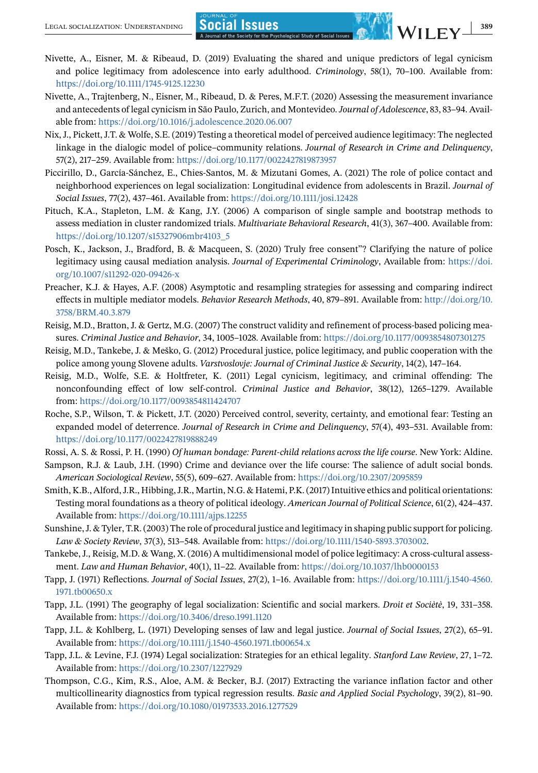- <span id="page-23-0"></span>Nivette, A., Eisner, M. & Ribeaud, D. (2019) Evaluating the shared and unique predictors of legal cynicism and police legitimacy from adolescence into early adulthood. *Criminology*, 58(1), 70–100. Available from: <https://doi.org/10.1111/1745-9125.12230>
- Nivette, A., Trajtenberg, N., Eisner, M., Ribeaud, D. & Peres, M.F.T. (2020) Assessing the measurement invariance and antecedents of legal cynicism in São Paulo, Zurich, and Montevideo.*Journal of Adolescence*, 83, 83–94. Available from: <https://doi.org/10.1016/j.adolescence.2020.06.007>
- Nix, J., Pickett, J.T. & Wolfe, S.E. (2019) Testing a theoretical model of perceived audience legitimacy: The neglected linkage in the dialogic model of police–community relations. *Journal of Research in Crime and Delinquency*, 57(2), 217–259. Available from: <https://doi.org/10.1177/0022427819873957>
- Piccirillo, D., García-Sánchez, E., Chies-Santos, M. & Mizutani Gomes, A. (2021) The role of police contact and neighborhood experiences on legal socialization: Longitudinal evidence from adolescents in Brazil. *Journal of Social Issues*, 77(2), 437–461. Available from: <https://doi.org/10.1111/josi.12428>
- Pituch, K.A., Stapleton, L.M. & Kang, J.Y. (2006) A comparison of single sample and bootstrap methods to assess mediation in cluster randomized trials. *Multivariate Behavioral Research*, 41(3), 367–400. Available from: [https://doi.org/10.1207/s15327906mbr4103\\_5](https://doi.org/10.1207/s15327906mbr4103_5)
- Posch, K., Jackson, J., Bradford, B. & Macqueen, S. (2020) Truly free consent"? Clarifying the nature of police legitimacy using causal mediation analysis. *Journal of Experimental Criminology*, Available from: [https://doi.](https://doi.org/10.1007/s11292-020-09426-x) [org/10.1007/s11292-020-09426-x](https://doi.org/10.1007/s11292-020-09426-x)
- Preacher, K.J. & Hayes, A.F. (2008) Asymptotic and resampling strategies for assessing and comparing indirect effects in multiple mediator models. *Behavior Research Methods*, 40, 879–891. Available from: [http://doi.org/10.](http://doi.org/10.3758/BRM.40.3.879) [3758/BRM.40.3.879](http://doi.org/10.3758/BRM.40.3.879)
- Reisig, M.D., Bratton, J. & Gertz, M.G. (2007) The construct validity and refinement of process-based policing measures. *Criminal Justice and Behavior*, 34, 1005–1028. Available from: <https://doi.org/10.1177/0093854807301275>
- Reisig, M.D., Tankebe, J. & Meško, G. (2012) Procedural justice, police legitimacy, and public cooperation with the police among young Slovene adults. *Varstvoslovje: Journal of Criminal Justice & Security*, 14(2), 147–164.
- Reisig, M.D., Wolfe, S.E. & Holtfreter, K. (2011) Legal cynicism, legitimacy, and criminal offending: The nonconfounding effect of low self-control. *Criminal Justice and Behavior*, 38(12), 1265–1279. Available from: <https://doi.org/10.1177/0093854811424707>
- Roche, S.P., Wilson, T. & Pickett, J.T. (2020) Perceived control, severity, certainty, and emotional fear: Testing an expanded model of deterrence. *Journal of Research in Crime and Delinquency*, 57(4), 493–531. Available from: <https://doi.org/10.1177/0022427819888249>
- Rossi, A. S. & Rossi, P. H. (1990) *Of human bondage: Parent-child relations across the life course*. New York: Aldine.
- Sampson, R.J. & Laub, J.H. (1990) Crime and deviance over the life course: The salience of adult social bonds. *American Sociological Review*, 55(5), 609–627. Available from: <https://doi.org/10.2307/2095859>
- Smith, K.B., Alford, J.R., Hibbing, J.R., Martin, N.G. & Hatemi, P.K. (2017) Intuitive ethics and political orientations: Testing moral foundations as a theory of political ideology. *American Journal of Political Science*, 61(2), 424–437. Available from: <https://doi.org/10.1111/ajps.12255>
- Sunshine, J. & Tyler, T.R. (2003) The role of procedural justice and legitimacy in shaping public support for policing. *Law & Society Review*, 37(3), 513–548. Available from: [https://doi.org/10.1111/1540-5893.3703002.](https://doi.org/10.1111/1540-5893.3703002)
- Tankebe, J., Reisig, M.D. & Wang, X. (2016) A multidimensional model of police legitimacy: A cross-cultural assessment. *Law and Human Behavior*, 40(1), 11–22. Available from: <https://doi.org/10.1037/lhb0000153>
- Tapp, J. (1971) Reflections. *Journal of Social Issues*, 27(2), 1–16. Available from: [https://doi.org/10.1111/j.1540-4560.](https://doi.org/10.1111/j.1540-4560.1971.tb00650.x) [1971.tb00650.x](https://doi.org/10.1111/j.1540-4560.1971.tb00650.x)
- Tapp, J.L. (1991) The geography of legal socialization: Scientific and social markers. *Droit et Sociètè*, 19, 331–358. Available from: <https://doi.org/10.3406/dreso.1991.1120>
- Tapp, J.L. & Kohlberg, L. (1971) Developing senses of law and legal justice. *Journal of Social Issues*, 27(2), 65–91. Available from: <https://doi.org/10.1111/j.1540-4560.1971.tb00654.x>
- Tapp, J.L. & Levine, F.J. (1974) Legal socialization: Strategies for an ethical legality. *Stanford Law Review*, 27, 1–72. Available from: <https://doi.org/10.2307/1227929>
- Thompson, C.G., Kim, R.S., Aloe, A.M. & Becker, B.J. (2017) Extracting the variance inflation factor and other multicollinearity diagnostics from typical regression results. *Basic and Applied Social Psychology*, 39(2), 81–90. Available from: <https://doi.org/10.1080/01973533.2016.1277529>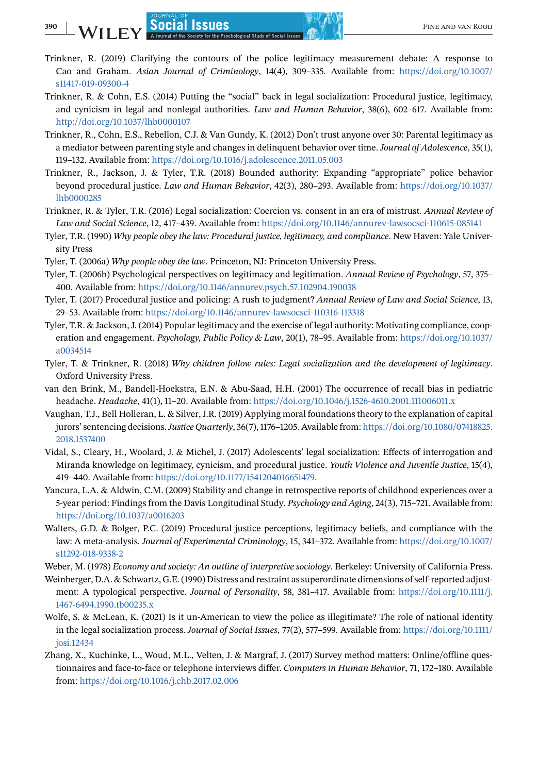- <span id="page-24-0"></span>Trinkner, R. (2019) Clarifying the contours of the police legitimacy measurement debate: A response to Cao and Graham. *Asian Journal of Criminology*, 14(4), 309–335. Available from: [https://doi.org/10.1007/](https://doi.org/10.1007/s11417-019-09300-4) [s11417-019-09300-4](https://doi.org/10.1007/s11417-019-09300-4)
- Trinkner, R. & Cohn, E.S. (2014) Putting the "social" back in legal socialization: Procedural justice, legitimacy, and cynicism in legal and nonlegal authorities. *Law and Human Behavior*, 38(6), 602–617. Available from: <http://doi.org/10.1037/lhb0000107>
- Trinkner, R., Cohn, E.S., Rebellon, C.J. & Van Gundy, K. (2012) Don't trust anyone over 30: Parental legitimacy as a mediator between parenting style and changes in delinquent behavior over time. *Journal of Adolescence*, 35(1), 119–132. Available from: <https://doi.org/10.1016/j.adolescence.2011.05.003>
- Trinkner, R., Jackson, J. & Tyler, T.R. (2018) Bounded authority: Expanding "appropriate" police behavior beyond procedural justice. *Law and Human Behavior*, 42(3), 280–293. Available from: [https://doi.org/10.1037/](https://doi.org/10.1037/lhb0000285) [lhb0000285](https://doi.org/10.1037/lhb0000285)
- Trinkner, R. & Tyler, T.R. (2016) Legal socialization: Coercion vs. consent in an era of mistrust. *Annual Review of Law and Social Science*, 12, 417–439. Available from: <https://doi.org/10.1146/annurev-lawsocsci-110615-085141>
- Tyler, T.R. (1990) *Why people obey the law: Procedural justice, legitimacy, and compliance*. New Haven: Yale University Press
- Tyler, T. (2006a) *Why people obey the law*. Princeton, NJ: Princeton University Press.
- Tyler, T. (2006b) Psychological perspectives on legitimacy and legitimation. *Annual Review of Psychology*, 57, 375– 400. Available from: <https://doi.org/10.1146/annurev.psych.57.102904.190038>
- Tyler, T. (2017) Procedural justice and policing: A rush to judgment? *Annual Review of Law and Social Science*, 13, 29–53. Available from: <https://doi.org/10.1146/annurev-lawsocsci-110316-113318>
- Tyler, T.R. & Jackson, J. (2014) Popular legitimacy and the exercise of legal authority: Motivating compliance, cooperation and engagement. *Psychology, Public Policy & Law*, 20(1), 78–95. Available from: [https://doi.org/10.1037/](https://doi.org/10.1037/a0034514) [a0034514](https://doi.org/10.1037/a0034514)
- Tyler, T. & Trinkner, R. (2018) *Why children follow rules: Legal socialization and the development of legitimacy*. Oxford University Press.
- van den Brink, M., Bandell-Hoekstra, E.N. & Abu-Saad, H.H. (2001) The occurrence of recall bias in pediatric headache. *Headache*, 41(1), 11–20. Available from: <https://doi.org/10.1046/j.1526-4610.2001.111006011.x>
- Vaughan, T.J., Bell Holleran, L. & Silver, J.R. (2019) Applying moral foundations theory to the explanation of capital jurors' sentencing decisions.*Justice Quarterly*, 36(7), 1176–1205. Available from: [https://doi.org/10.1080/07418825.](https://doi.org/10.1080/07418825.2018.1537400) [2018.1537400](https://doi.org/10.1080/07418825.2018.1537400)
- Vidal, S., Cleary, H., Woolard, J. & Michel, J. (2017) Adolescents' legal socialization: Effects of interrogation and Miranda knowledge on legitimacy, cynicism, and procedural justice. *Youth Violence and Juvenile Justice*, 15(4), 419–440. Available from: [https://doi.org/10.1177/1541204016651479.](https://doi.org/10.1177/1541204016651479)
- Yancura, L.A. & Aldwin, C.M. (2009) Stability and change in retrospective reports of childhood experiences over a 5-year period: Findings from the Davis Longitudinal Study. *Psychology and Aging*, 24(3), 715–721. Available from: <https://doi.org/10.1037/a0016203>
- Walters, G.D. & Bolger, P.C. (2019) Procedural justice perceptions, legitimacy beliefs, and compliance with the law: A meta-analysis. *Journal of Experimental Criminology*, 15, 341–372. Available from: [https://doi.org/10.1007/](https://doi.org/10.1007/s11292-018-9338-2) [s11292-018-9338-2](https://doi.org/10.1007/s11292-018-9338-2)
- Weber, M. (1978) *Economy and society: An outline of interpretive sociology*. Berkeley: University of California Press.
- Weinberger, D.A. & Schwartz, G.E. (1990) Distress and restraint as superordinate dimensions of self-reported adjustment: A typological perspective. *Journal of Personality*, 58, 381–417. Available from: [https://doi.org/10.1111/j.](https://doi.org/10.1111/j.1467-6494.1990.tb00235.x) [1467-6494.1990.tb00235.x](https://doi.org/10.1111/j.1467-6494.1990.tb00235.x)
- Wolfe, S. & McLean, K. (2021) Is it un-American to view the police as illegitimate? The role of national identity in the legal socialization process. *Journal of Social Issues*, 77(2), 577–599. Available from: [https://doi.org/10.1111/](https://doi.org/10.1111/josi.12434) [josi.12434](https://doi.org/10.1111/josi.12434)
- Zhang, X., Kuchinke, L., Woud, M.L., Velten, J. & Margraf, J. (2017) Survey method matters: Online/offline questionnaires and face-to-face or telephone interviews differ. *Computers in Human Behavior*, 71, 172–180. Available from: <https://doi.org/10.1016/j.chb.2017.02.006>